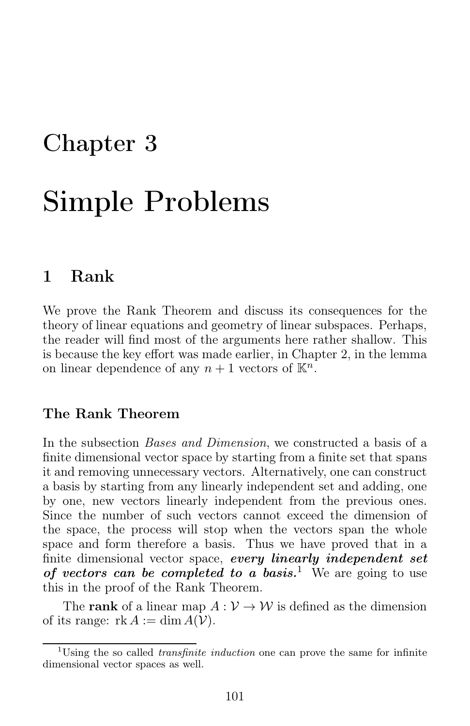# Chapter 3

# Simple Problems

# 1 Rank

We prove the Rank Theorem and discuss its consequences for the theory of linear equations and geometry of linear subspaces. Perhaps, the reader will find most of the arguments here rather shallow. This is because the key effort was made earlier, in Chapter 2, in the lemma on linear dependence of any  $n+1$  vectors of  $\mathbb{K}^n$ .

# The Rank Theorem

In the subsection Bases and Dimension, we constructed a basis of a finite dimensional vector space by starting from a finite set that spans it and removing unnecessary vectors. Alternatively, one can construct a basis by starting from any linearly independent set and adding, one by one, new vectors linearly independent from the previous ones. Since the number of such vectors cannot exceed the dimension of the space, the process will stop when the vectors span the whole space and form therefore a basis. Thus we have proved that in a finite dimensional vector space, every linearly independent set of vectors can be completed to a basis.<sup>1</sup> We are going to use this in the proof of the Rank Theorem.

The rank of a linear map  $A: V \to W$  is defined as the dimension of its range:  $rk A := \dim A(V)$ .

<sup>&</sup>lt;sup>1</sup>Using the so called *transfinite induction* one can prove the same for infinite dimensional vector spaces as well.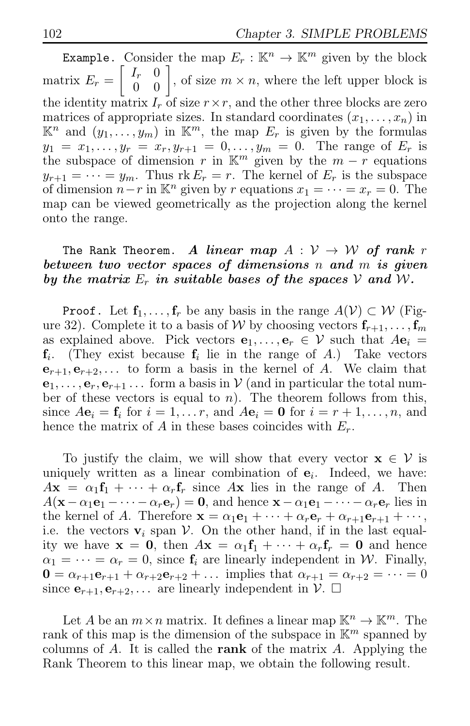Example. Consider the map  $E_r : \mathbb{K}^n \to \mathbb{K}^m$  given by the block matrix  $E_r = \begin{bmatrix} I_r & 0 \\ 0 & 0 \end{bmatrix}$ , of size  $m \times n$ , where the left upper block is the identity matrix  $I_r$  of size  $r \times r$ , and the other three blocks are zero matrices of appropriate sizes. In standard coordinates  $(x_1, \ldots, x_n)$  in  $\mathbb{K}^n$  and  $(\overline{y_1, \ldots, y_m})$  in  $\mathbb{K}^m$ , the map  $E_r$  is given by the formulas  $y_1 = x_1, \ldots, y_r = x_r, y_{r+1} = 0, \ldots, y_m = 0$ . The range of  $E_r$  is the subspace of dimension r in  $\mathbb{K}^m$  given by the  $m - r$  equations  $y_{r+1} = \cdots = y_m$ . Thus  $rk E_r = r$ . The kernel of  $E_r$  is the subspace of dimension  $n-r$  in K<sup>n</sup> given by r equations  $x_1 = \cdots = x_r = 0$ . The map can be viewed geometrically as the projection along the kernel onto the range.

### The Rank Theorem. A linear map  $A: V \rightarrow W$  of rank r between two vector spaces of dimensions n and m is given by the matrix  $E_r$  in suitable bases of the spaces V and W.

**Proof.** Let  $f_1, \ldots, f_r$  be any basis in the range  $A(V) \subset W$  (Figure 32). Complete it to a basis of W by choosing vectors  $f_{r+1}, \ldots, f_m$ as explained above. Pick vectors  $e_1, \ldots, e_r \in V$  such that  $Ae_i =$  $f_i$ . (They exist because  $f_i$  lie in the range of A.) Take vectors  $e_{r+1}, e_{r+2}, \ldots$  to form a basis in the kernel of A. We claim that  $e_1, \ldots, e_r, e_{r+1} \ldots$  form a basis in  $\mathcal V$  (and in particular the total number of these vectors is equal to n). The theorem follows from this, since  $A\mathbf{e}_i = \mathbf{f}_i$  for  $i = 1, \ldots r$ , and  $A\mathbf{e}_i = \mathbf{0}$  for  $i = r + 1, \ldots, n$ , and hence the matrix of A in these bases coincides with  $E_r$ .

To justify the claim, we will show that every vector  $\mathbf{x} \in \mathcal{V}$  is uniquely written as a linear combination of  $e_i$ . Indeed, we have:  $A\mathbf{x} = \alpha_1\mathbf{f}_1 + \cdots + \alpha_r\mathbf{f}_r$  since  $A\mathbf{x}$  lies in the range of A. Then  $A(\mathbf{x}-\alpha_1\mathbf{e}_1-\cdots-\alpha_r\mathbf{e}_r)=\mathbf{0}$ , and hence  $\mathbf{x}-\alpha_1\mathbf{e}_1-\cdots-\alpha_r\mathbf{e}_r$  lies in the kernel of A. Therefore  $\mathbf{x} = \alpha_1 \mathbf{e}_1 + \cdots + \alpha_r \mathbf{e}_r + \alpha_{r+1} \mathbf{e}_{r+1} + \cdots$ , i.e. the vectors  $v_i$  span V. On the other hand, if in the last equality we have  $\mathbf{x} = \mathbf{0}$ , then  $A\mathbf{x} = \alpha_1 \mathbf{f}_1 + \cdots + \alpha_r \mathbf{f}_r = \mathbf{0}$  and hence  $\alpha_1 = \cdots = \alpha_r = 0$ , since  $f_i$  are linearly independent in W. Finally,  $0 = \alpha_{r+1} \mathbf{e}_{r+1} + \alpha_{r+2} \mathbf{e}_{r+2} + \dots$  implies that  $\alpha_{r+1} = \alpha_{r+2} = \dots = 0$ since  $e_{r+1}, e_{r+2}, \ldots$  are linearly independent in  $\mathcal{V}$ .  $\Box$ 

Let A be an  $m \times n$  matrix. It defines a linear map  $\mathbb{K}^n \to \mathbb{K}^m$ . The rank of this map is the dimension of the subspace in  $\mathbb{K}^m$  spanned by columns of  $A$ . It is called the **rank** of the matrix  $A$ . Applying the Rank Theorem to this linear map, we obtain the following result.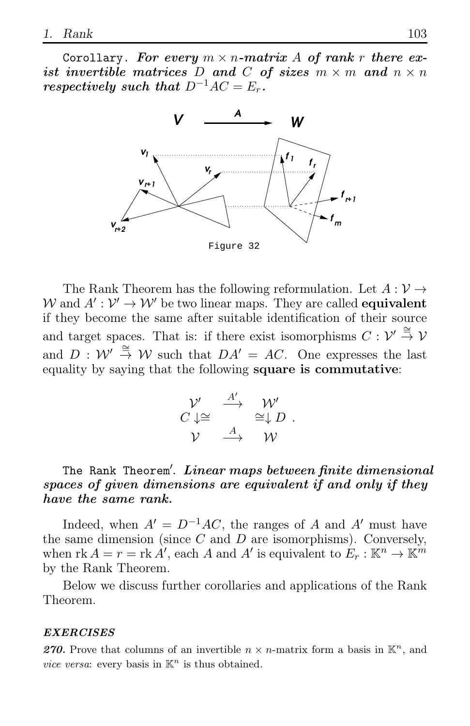Corollary. For every  $m \times n$ -matrix A of rank r there exist invertible matrices D and C of sizes  $m \times m$  and  $n \times n$ respectively such that  $D^{-1}AC = E_r$ .



The Rank Theorem has the following reformulation. Let  $A: \mathcal{V} \rightarrow$ W and  $A' : \mathcal{V}' \to \mathcal{W}'$  be two linear maps. They are called **equivalent** if they become the same after suitable identification of their source and target spaces. That is: if there exist isomorphisms  $C: \mathcal{V}' \stackrel{\cong}{\to} \mathcal{V}$ and  $D: W' \stackrel{\cong}{\to} W$  such that  $DA' = AC$ . One expresses the last equality by saying that the following square is commutative:

$$
\begin{array}{ccc}\n\mathcal{V}' & \xrightarrow{A'} & \mathcal{W}' \\
C \downarrow \cong & & \cong \downarrow D \\
\mathcal{V} & \xrightarrow{A} & \mathcal{W}\n\end{array}.
$$

# The Rank Theorem'. Linear maps between finite dimensional spaces of given dimensions are equivalent if and only if they have the same rank.

Indeed, when  $A' = D^{-1}AC$ , the ranges of A and A' must have the same dimension (since  $C$  and  $D$  are isomorphisms). Conversely, when  $\text{rk } A = r = \text{rk } A'$ , each A and A' is equivalent to  $E_r : \mathbb{K}^n \to \mathbb{K}^m$ by the Rank Theorem.

Below we discuss further corollaries and applications of the Rank Theorem.

#### EXERCISES

270. Prove that columns of an invertible  $n \times n$ -matrix form a basis in  $\mathbb{K}^n$ , and vice versa: every basis in  $\mathbb{K}^n$  is thus obtained.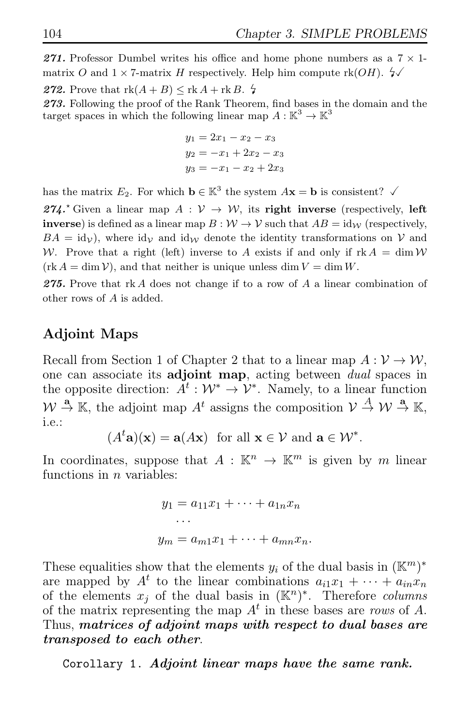271. Professor Dumbel writes his office and home phone numbers as a  $7 \times 1$ matrix O and  $1 \times 7$ -matrix H respectively. Help him compute rk(OH).  $\sqrt[2]{}$ 

272. Prove that  $rk(A + B) \leq rk A + rk B$ .  $\sharp$ 273. Following the proof of the Rank Theorem, find bases in the domain and the target spaces in which the following linear map  $A: \mathbb{K}^3 \to \mathbb{K}^3$ 

$$
y_1 = 2x_1 - x_2 - x_3
$$
  

$$
y_2 = -x_1 + 2x_2 - x_3
$$
  

$$
y_3 = -x_1 - x_2 + 2x_3
$$

has the matrix  $E_2$ . For which  $\mathbf{b} \in \mathbb{K}^3$  the system  $A\mathbf{x} = \mathbf{b}$  is consistent?  $\checkmark$ 

274.<sup> $\star$ </sup> Given a linear map  $A : \mathcal{V} \to \mathcal{W}$ , its right inverse (respectively, left **inverse**) is defined as a linear map  $B: W \to V$  such that  $AB = id_W$  (respectively,  $BA = id<sub>V</sub>$ , where  $id<sub>V</sub>$  and  $id<sub>W</sub>$  denote the identity transformations on V and W. Prove that a right (left) inverse to A exists if and only if  $\text{rk } A = \dim \mathcal{W}$  $(\text{rk } A = \dim V)$ , and that neither is unique unless dim  $V = \dim W$ .

275. Prove that rk A does not change if to a row of A a linear combination of other rows of A is added.

# Adjoint Maps

Recall from Section 1 of Chapter 2 that to a linear map  $A: \mathcal{V} \to \mathcal{W}$ , one can associate its adjoint map, acting between dual spaces in the opposite direction:  $A^t: \mathcal{W}^* \to \mathcal{V}^*$ . Namely, to a linear function v<br>.  $A \stackrel{\mathbf{a}}{\rightarrow} \mathbb{K}$ , the adjoint map  $A^t$  assigns the composition  $V \stackrel{A}{\rightarrow} W \stackrel{\mathbf{a}}{\rightarrow} \mathbb{K}$ , i.e.:

$$
(A^t\mathbf{a})(\mathbf{x}) = \mathbf{a}(A\mathbf{x})
$$
 for all  $\mathbf{x} \in \mathcal{V}$  and  $\mathbf{a} \in \mathcal{W}^*$ .

In coordinates, suppose that  $A : \mathbb{K}^n \to \mathbb{K}^m$  is given by m linear functions in  $n$  variables:

> $y_1 = a_{11}x_1 + \cdots + a_{1n}x_n$ · · ·  $y_m = a_{m1}x_1 + \cdots + a_{mn}x_n.$

These equalities show that the elements  $y_i$  of the dual basis in  $(\mathbb{K}^m)^*$ are mapped by  $A^t$  to the linear combinations  $a_{i1}x_1 + \cdots + a_{in}x_n$ of the elements  $x_j$  of the dual basis in  $(\mathbb{K}^n)^*$ . Therefore columns of the matrix representing the map  $A<sup>t</sup>$  in these bases are rows of A. Thus, matrices of adjoint maps with respect to dual bases are transposed to each other.

Corollary 1. Adjoint linear maps have the same rank.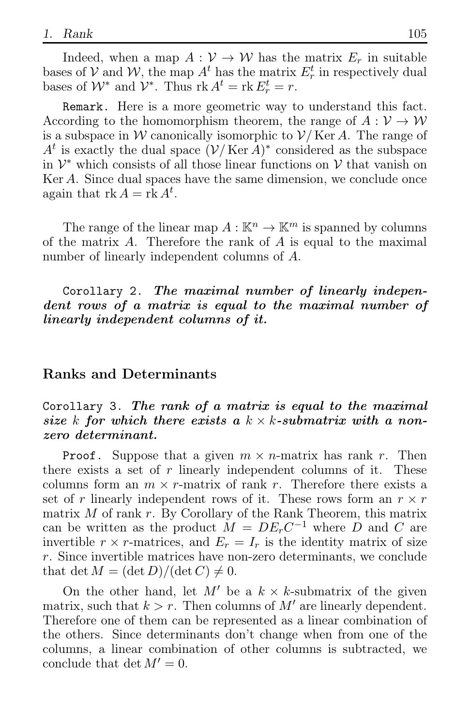Indeed, when a map  $A: V \to W$  has the matrix  $E_r$  in suitable bases of  $V$  and  $W$ , the map  $A^t$  has the matrix  $E_r^t$  in respectively dual bases of  $W^*$  and  $V^*$ . Thus  $\text{rk } A^t = \text{rk } E_r^t = r$ .

Remark. Here is a more geometric way to understand this fact. According to the homomorphism theorem, the range of  $A: V \to W$ is a subspace in W canonically isomorphic to  $\mathcal{V}/\text{Ker }A$ . The range of  $A^t$  is exactly the dual space  $(\mathcal{V}/\mathrm{Ker}\,A)^*$  considered as the subspace in  $\mathcal{V}^*$  which consists of all those linear functions on  $\mathcal V$  that vanish on Ker A. Since dual spaces have the same dimension, we conclude once again that  $rk A = rk A^t$ .

The range of the linear map  $A : \mathbb{K}^n \to \mathbb{K}^m$  is spanned by columns of the matrix A. Therefore the rank of A is equal to the maximal number of linearly independent columns of A.

Corollary 2. The maximal number of linearly independent rows of a matrix is equal to the maximal number of linearly independent columns of it.

### Ranks and Determinants

### Corollary 3. The rank of a matrix is equal to the maximal size k for which there exists a  $k \times k$ -submatrix with a nonzero determinant.

**Proof.** Suppose that a given  $m \times n$ -matrix has rank r. Then there exists a set of  $r$  linearly independent columns of it. These columns form an  $m \times r$ -matrix of rank r. Therefore there exists a set of r linearly independent rows of it. These rows form an  $r \times r$ matrix  $M$  of rank  $r$ . By Corollary of the Rank Theorem, this matrix can be written as the product  $\dot{M} = DE<sub>r</sub>C^{-1}$  where  $D$  and C are invertible  $r \times r$ -matrices, and  $E_r = I_r$  is the identity matrix of size r. Since invertible matrices have non-zero determinants, we conclude that det  $M = (\det D)/(\det C) \neq 0$ .

On the other hand, let  $M'$  be a  $k \times k$ -submatrix of the given matrix, such that  $k > r$ . Then columns of M' are linearly dependent. Therefore one of them can be represented as a linear combination of the others. Since determinants don't change when from one of the columns, a linear combination of other columns is subtracted, we conclude that det  $M' = 0$ .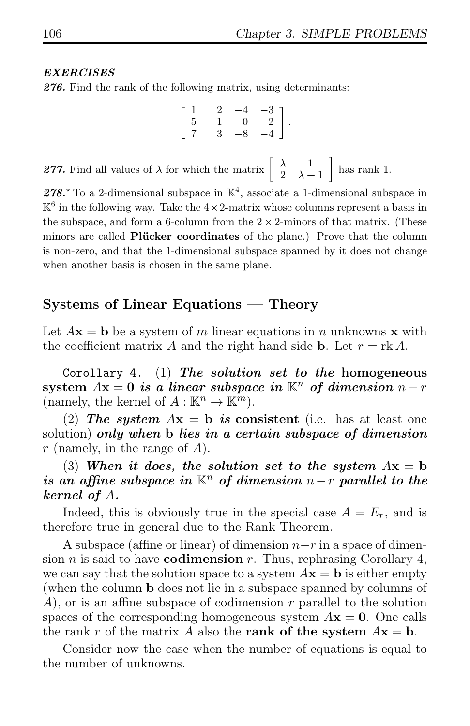### EXERCISES

276. Find the rank of the following matrix, using determinants:

$$
\left[\begin{array}{rrrr} 1 & 2 & -4 & -3 \\ 5 & -1 & 0 & 2 \\ 7 & 3 & -8 & -4 \end{array}\right].
$$

**277.** Find all values of  $\lambda$  for which the matrix  $\begin{bmatrix} \lambda & 1 \\ 2 & \lambda+1 \end{bmatrix}$  has rank 1.

278.<sup>\*</sup> To a 2-dimensional subspace in  $\mathbb{K}^4$ , associate a 1-dimensional subspace in  $\mathbb{K}^6$  in the following way. Take the  $4 \times 2$ -matrix whose columns represent a basis in the subspace, and form a 6-column from the  $2 \times 2$ -minors of that matrix. (These minors are called Plücker coordinates of the plane.) Prove that the column is non-zero, and that the 1-dimensional subspace spanned by it does not change when another basis is chosen in the same plane.

# Systems of Linear Equations — Theory

Let  $A\mathbf{x} = \mathbf{b}$  be a system of m linear equations in n unknowns x with the coefficient matrix A and the right hand side **b**. Let  $r = \text{rk } A$ .

Corollary 4. (1) The solution set to the homogeneous system  $Ax = 0$  is a linear subspace in  $\mathbb{K}^n$  of dimension  $n - r$ (namely, the kernel of  $A: \mathbb{K}^n \to \mathbb{K}^m$ ).

(2) The system  $Ax = b$  is consistent (i.e. has at least one solution) only when b lies in a certain subspace of dimension r (namely, in the range of  $A$ ).

(3) When it does, the solution set to the system  $Ax = b$ is an affine subspace in  $K^n$  of dimension  $n-r$  parallel to the kernel of A.

Indeed, this is obviously true in the special case  $A = E_r$ , and is therefore true in general due to the Rank Theorem.

A subspace (affine or linear) of dimension  $n-r$  in a space of dimension *n* is said to have **codimension** *r*. Thus, rephrasing Corollary 4, we can say that the solution space to a system  $A\mathbf{x} = \mathbf{b}$  is either empty (when the column b does not lie in a subspace spanned by columns of  $A$ , or is an affine subspace of codimension r parallel to the solution spaces of the corresponding homogeneous system  $A\mathbf{x} = \mathbf{0}$ . One calls the rank r of the matrix A also the **rank of the system**  $A\mathbf{x} = \mathbf{b}$ .

Consider now the case when the number of equations is equal to the number of unknowns.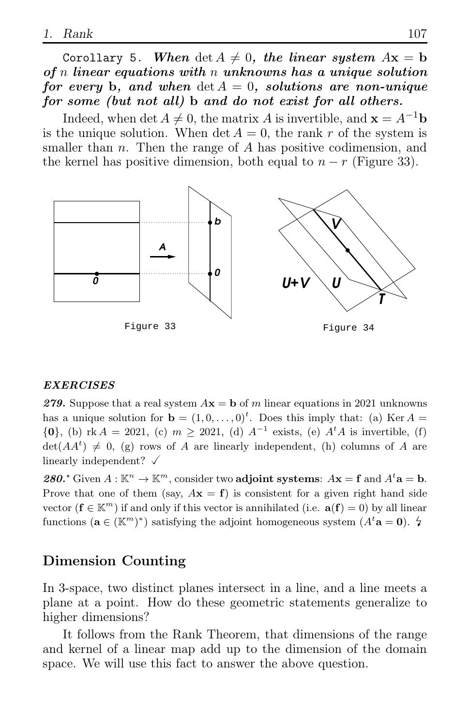Corollary 5. When  $\det A \neq 0$ , the linear system  $A\mathbf{x} = \mathbf{b}$ of n linear equations with n unknowns has a unique solution for every b, and when  $\det A = 0$ , solutions are non-unique for some (but not all) b and do not exist for all others.

Indeed, when det  $A \neq 0$ , the matrix A is invertible, and  $\mathbf{x} = A^{-1}\mathbf{b}$ is the unique solution. When det  $A = 0$ , the rank r of the system is smaller than  $n$ . Then the range of  $A$  has positive codimension, and the kernel has positive dimension, both equal to  $n - r$  (Figure 33).



### EXERCISES

279. Suppose that a real system  $A\mathbf{x} = \mathbf{b}$  of m linear equations in 2021 unknowns has a unique solution for  $\mathbf{b} = (1, 0, \dots, 0)^t$ . Does this imply that: (a) Ker  $A =$  ${0}$ , (b) rk  $A = 2021$ , (c)  $m \ge 2021$ , (d)  $A^{-1}$  exists, (e)  $A^t A$  is invertible, (f)  $\det(AA^t) \neq 0$ , (g) rows of A are linearly independent, (h) columns of A are linearly independent?  $\checkmark$ 

280.<sup>\*</sup> Given  $A : \mathbb{K}^n \to \mathbb{K}^m$ , consider two **adjoint systems**:  $A\mathbf{x} = \mathbf{f}$  and  $A^t\mathbf{a} = \mathbf{b}$ . Prove that one of them (say,  $A\mathbf{x} = \mathbf{f}$ ) is consistent for a given right hand side vector  $(f \in \mathbb{K}^m)$  if and only if this vector is annihilated (i.e.  $a(f) = 0$ ) by all linear functions  $(\mathbf{a} \in (\mathbb{K}^m)^*)$  satisfying the adjoint homogeneous system  $(A^t \mathbf{a} = \mathbf{0})$ .  $\sharp$ 

# Dimension Counting

In 3-space, two distinct planes intersect in a line, and a line meets a plane at a point. How do these geometric statements generalize to higher dimensions?

It follows from the Rank Theorem, that dimensions of the range and kernel of a linear map add up to the dimension of the domain space. We will use this fact to answer the above question.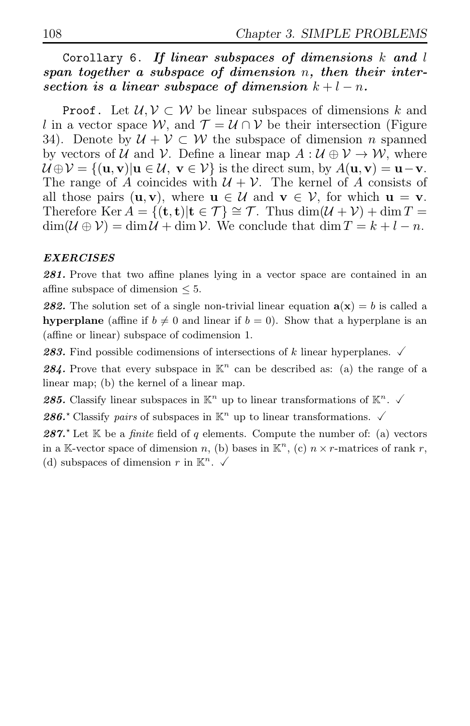Corollary 6. If linear subspaces of dimensions  $k$  and  $l$ span together a subspace of dimension n, then their intersection is a linear subspace of dimension  $k + l - n$ .

**Proof.** Let  $\mathcal{U}, \mathcal{V} \subset \mathcal{W}$  be linear subspaces of dimensions k and l in a vector space W, and  $\mathcal{T} = \mathcal{U} \cap \mathcal{V}$  be their intersection (Figure 34). Denote by  $\mathcal{U} + \mathcal{V} \subset \mathcal{W}$  the subspace of dimension *n* spanned by vectors of U and V. Define a linear map  $A: U \oplus V \to W$ , where  $\mathcal{U} \oplus \mathcal{V} = \{(\mathbf{u}, \mathbf{v}) | \mathbf{u} \in \mathcal{U}, \mathbf{v} \in \mathcal{V}\}\$ is the direct sum, by  $A(\mathbf{u}, \mathbf{v}) = \mathbf{u} - \mathbf{v}$ . The range of A coincides with  $U + V$ . The kernel of A consists of all those pairs  $(\mathbf{u}, \mathbf{v})$ , where  $\mathbf{u} \in \mathcal{U}$  and  $\mathbf{v} \in \mathcal{V}$ , for which  $\mathbf{u} = \mathbf{v}$ . Therefore Ker  $A = \{(\mathbf{t}, \mathbf{t}) | \mathbf{t} \in \mathcal{T} \} \cong \mathcal{T}$ . Thus  $\dim(\mathcal{U} + \mathcal{V}) + \dim T =$  $\dim(U \oplus V) = \dim U + \dim V$ . We conclude that  $\dim T = k + l - n$ .

### EXERCISES

281. Prove that two affine planes lying in a vector space are contained in an affine subspace of dimension  $\leq 5$ .

282. The solution set of a single non-trivial linear equation  $a(x) = b$  is called a hyperplane (affine if  $b \neq 0$  and linear if  $b = 0$ ). Show that a hyperplane is an (affine or linear) subspace of codimension 1.

**283.** Find possible codimensions of intersections of k linear hyperplanes.  $\checkmark$ 

284. Prove that every subspace in  $K^n$  can be described as: (a) the range of a linear map; (b) the kernel of a linear map.

285. Classify linear subspaces in  $\mathbb{K}^n$  up to linear transformations of  $\mathbb{K}^n$ .  $\checkmark$ 

286. $\star$  Classify pairs of subspaces in  $\mathbb{K}^n$  up to linear transformations.  $\checkmark$ 

287.<sup> $\star$ </sup> Let K be a *finite* field of q elements. Compute the number of: (a) vectors in a K-vector space of dimension n, (b) bases in  $\mathbb{K}^n$ , (c)  $n \times r$ -matrices of rank r, (d) subspaces of dimension r in  $\mathbb{K}^n$ .  $\checkmark$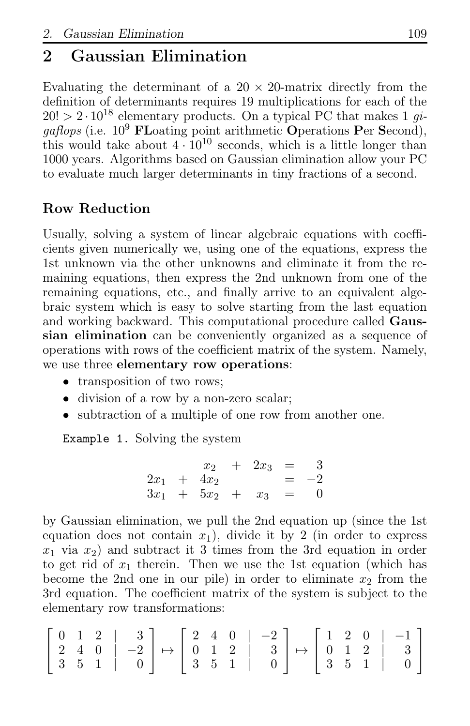# 2 Gaussian Elimination

Evaluating the determinant of a  $20 \times 20$ -matrix directly from the definition of determinants requires 19 multiplications for each of the  $20! > 2 \cdot 10^{18}$  elementary products. On a typical PC that makes 1 gi $qaflops$  (i.e.  $10^9$  FLoating point arithmetic Operations Per Second), this would take about  $4 \cdot 10^{10}$  seconds, which is a little longer than 1000 years. Algorithms based on Gaussian elimination allow your PC to evaluate much larger determinants in tiny fractions of a second.

# Row Reduction

Usually, solving a system of linear algebraic equations with coefficients given numerically we, using one of the equations, express the 1st unknown via the other unknowns and eliminate it from the remaining equations, then express the 2nd unknown from one of the remaining equations, etc., and finally arrive to an equivalent algebraic system which is easy to solve starting from the last equation and working backward. This computational procedure called Gaussian elimination can be conveniently organized as a sequence of operations with rows of the coefficient matrix of the system. Namely, we use three elementary row operations:

- transposition of two rows;
- division of a row by a non-zero scalar;
- subtraction of a multiple of one row from another one.

Example 1. Solving the system

$$
\begin{array}{rcl}\nx_2 & + & 2x_3 & = & 3 \\
2x_1 & + & 4x_2 & = & -2 \\
3x_1 & + & 5x_2 & + & x_3 & = & 0\n\end{array}
$$

by Gaussian elimination, we pull the 2nd equation up (since the 1st equation does not contain  $x_1$ ), divide it by 2 (in order to express  $x_1$  via  $x_2$ ) and subtract it 3 times from the 3rd equation in order to get rid of  $x_1$  therein. Then we use the 1st equation (which has become the 2nd one in our pile) in order to eliminate  $x_2$  from the 3rd equation. The coefficient matrix of the system is subject to the elementary row transformations:

$$
\left[\begin{array}{cc|c} 0 & 1 & 2 & | & 3 \\ 2 & 4 & 0 & | & -2 \\ 3 & 5 & 1 & | & 0 \end{array}\right] \mapsto \left[\begin{array}{cc|c} 2 & 4 & 0 & | & -2 \\ 0 & 1 & 2 & | & 3 \\ 3 & 5 & 1 & | & 0 \end{array}\right] \mapsto \left[\begin{array}{cc|c} 1 & 2 & 0 & | & -1 \\ 0 & 1 & 2 & | & 3 \\ 3 & 5 & 1 & | & 0 \end{array}\right]
$$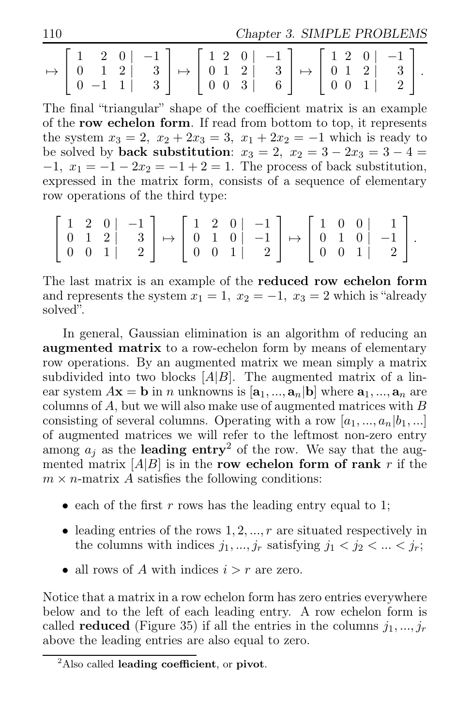110 Chapter 3. SIMPLE PROBLEMS

|  |  |  |  |  |  |  |  |  | $\mapsto \left[\begin{array}{ccc c} 1 & 2 & 0 & -1 \\ 0 & 1 & 2 & 3 \\ 0 & -1 & 1 & 3 \end{array}\right] \mapsto \left[\begin{array}{ccc c} 1 & 2 & 0 & -1 \\ 0 & 1 & 2 & 3 \\ 0 & 0 & 3 & 6 \end{array}\right] \mapsto \left[\begin{array}{ccc c} 1 & 2 & 0 & -1 \\ 0 & 1 & 2 & 3 \\ 0 & 0 & 1 & 2 \end{array}\right].$ |  |  |  |  |  |  |
|--|--|--|--|--|--|--|--|--|--------------------------------------------------------------------------------------------------------------------------------------------------------------------------------------------------------------------------------------------------------------------------------------------------------------------------|--|--|--|--|--|--|
|--|--|--|--|--|--|--|--|--|--------------------------------------------------------------------------------------------------------------------------------------------------------------------------------------------------------------------------------------------------------------------------------------------------------------------------|--|--|--|--|--|--|

The final "triangular" shape of the coefficient matrix is an example of the row echelon form. If read from bottom to top, it represents the system  $x_3 = 2$ ,  $x_2 + 2x_3 = 3$ ,  $x_1 + 2x_2 = -1$  which is ready to be solved by **back substitution**:  $x_3 = 2$ ,  $x_2 = 3 - 2x_3 = 3 - 4 =$  $-1, x_1 = -1 - 2x_2 = -1 + 2 = 1$ . The process of back substitution, expressed in the matrix form, consists of a sequence of elementary row operations of the third type:

$$
\left[\begin{array}{ccc|c} 1 & 2 & 0 & -1 \\ 0 & 1 & 2 & 3 \\ 0 & 0 & 1 & 2 \end{array}\right] \mapsto \left[\begin{array}{ccc|c} 1 & 2 & 0 & -1 \\ 0 & 1 & 0 & -1 \\ 0 & 0 & 1 & 2 \end{array}\right] \mapsto \left[\begin{array}{ccc|c} 1 & 0 & 0 & 1 \\ 0 & 1 & 0 & -1 \\ 0 & 0 & 1 & 2 \end{array}\right].
$$

The last matrix is an example of the reduced row echelon form and represents the system  $x_1 = 1$ ,  $x_2 = -1$ ,  $x_3 = 2$  which is "already" solved".

In general, Gaussian elimination is an algorithm of reducing an augmented matrix to a row-echelon form by means of elementary row operations. By an augmented matrix we mean simply a matrix subdivided into two blocks  $[A|B]$ . The augmented matrix of a linear system  $A\mathbf{x} = \mathbf{b}$  in *n* unknowns is  $[\mathbf{a}_1, ..., \mathbf{a}_n]$  where  $\mathbf{a}_1, ..., \mathbf{a}_n$  are columns of  $A$ , but we will also make use of augmented matrices with  $B$ consisting of several columns. Operating with a row  $[a_1, ..., a_n|b_1, ...]$ of augmented matrices we will refer to the leftmost non-zero entry among  $a_i$  as the leading entry<sup>2</sup> of the row. We say that the augmented matrix  $[A|B]$  is in the row echelon form of rank r if the  $m \times n$ -matrix A satisfies the following conditions:

- each of the first r rows has the leading entry equal to 1;
- leading entries of the rows  $1, 2, ..., r$  are situated respectively in the columns with indices  $j_1, ..., j_r$  satisfying  $j_1 < j_2 < ... < j_r$ ;
- all rows of A with indices  $i > r$  are zero.

Notice that a matrix in a row echelon form has zero entries everywhere below and to the left of each leading entry. A row echelon form is called **reduced** (Figure 35) if all the entries in the columns  $j_1, ..., j_r$ above the leading entries are also equal to zero.

 ${}^{2}$ Also called leading coefficient, or pivot.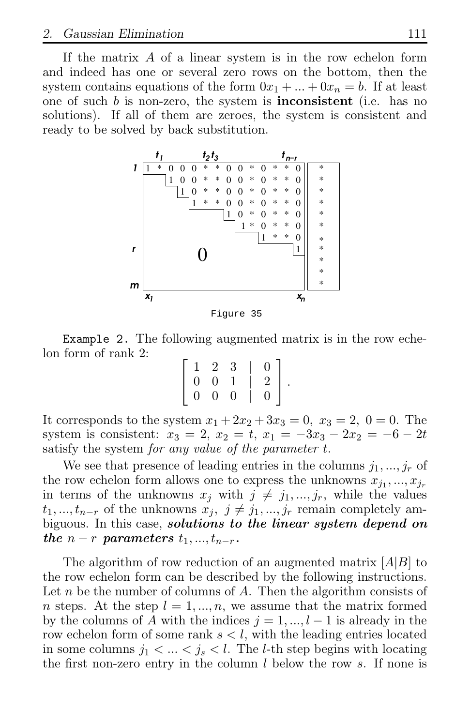If the matrix  $A$  of a linear system is in the row echelon form and indeed has one or several zero rows on the bottom, then the system contains equations of the form  $0x_1 + ... + 0x_n = b$ . If at least one of such  $b$  is non-zero, the system is **inconsistent** (i.e. has no solutions). If all of them are zeroes, the system is consistent and ready to be solved by back substitution.



Figure 35

Example 2. The following augmented matrix is in the row echelon form of rank 2:

|                | $1 \quad 2 \quad 3$ |          | $\overline{0}$ |  |
|----------------|---------------------|----------|----------------|--|
| $\overline{0}$ | $\theta$            | -1       | 2              |  |
| $\overline{0}$ | $\overline{0}$      | $\Omega$ | 0              |  |

It corresponds to the system  $x_1 + 2x_2 + 3x_3 = 0$ ,  $x_3 = 2$ ,  $0 = 0$ . The system is consistent:  $x_3 = 2$ ,  $x_2 = t$ ,  $x_1 = -3x_3 - 2x_2 = -6 - 2t$ satisfy the system for any value of the parameter t.

We see that presence of leading entries in the columns  $j_1, ..., j_r$  of the row echelon form allows one to express the unknowns  $x_{j_1},...,x_{j_r}$ in terms of the unknowns  $x_j$  with  $j \neq j_1, ..., j_r$ , while the values  $t_1, ..., t_{n-r}$  of the unknowns  $x_j, j \neq j_1, ..., j_r$  remain completely ambiguous. In this case, *solutions to the linear system depend on* the  $n-r$  parameters  $t_1, ..., t_{n-r}$ .

The algorithm of row reduction of an augmented matrix  $[A|B]$  to the row echelon form can be described by the following instructions. Let n be the number of columns of A. Then the algorithm consists of *n* steps. At the step  $l = 1, ..., n$ , we assume that the matrix formed by the columns of A with the indices  $j = 1, ..., l - 1$  is already in the row echelon form of some rank  $s < l$ , with the leading entries located in some columns  $j_1 < ... < j_s < l$ . The *l*-th step begins with locating the first non-zero entry in the column  $l$  below the row  $s$ . If none is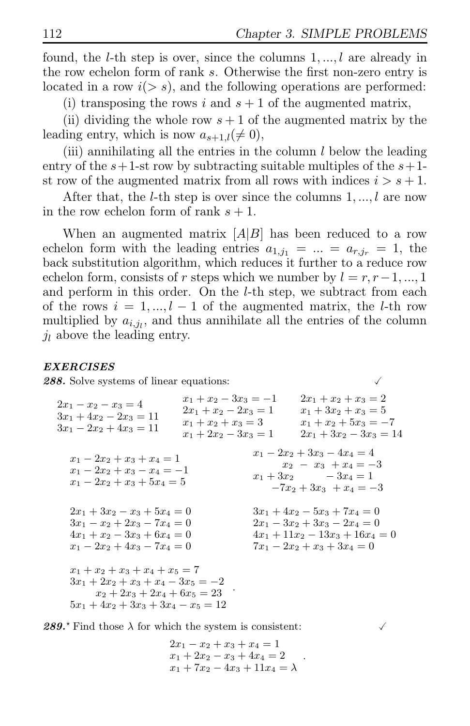found, the *l*-th step is over, since the columns  $1, \ldots, l$  are already in the row echelon form of rank s. Otherwise the first non-zero entry is located in a row  $i(> s)$ , and the following operations are performed:

(i) transposing the rows i and  $s + 1$  of the augmented matrix,

(ii) dividing the whole row  $s + 1$  of the augmented matrix by the leading entry, which is now  $a_{s+1,l}(\neq 0)$ ,

(iii) annihilating all the entries in the column  $l$  below the leading entry of the  $s+1$ -st row by subtracting suitable multiples of the  $s+1$ st row of the augmented matrix from all rows with indices  $i > s + 1$ .

After that, the *l*-th step is over since the columns  $1, \ldots, l$  are now in the row echelon form of rank  $s + 1$ .

When an augmented matrix  $[A|B]$  has been reduced to a row echelon form with the leading entries  $a_{1,i_1} = ... = a_{r,i_r} = 1$ , the back substitution algorithm, which reduces it further to a reduce row echelon form, consists of r steps which we number by  $l = r, r-1, ..., 1$ and perform in this order. On the l-th step, we subtract from each of the rows  $i = 1, ..., l - 1$  of the augmented matrix, the l-th row multiplied by  $a_{i,j_l}$ , and thus annihilate all the entries of the column  $\dot{\mathbf{u}}$  above the leading entry.

### EXERCISES

288. Solve systems of linear equations:

 $2x_1 - x_2 - x_3 = 4$  $3x_1 + 4x_2 - 2x_3 = 11$  $3x_1 - 2x_2 + 4x_3 = 11$  $x_1 + x_2 - 3x_3 = -1$  $2x_1 + x_2 - 2x_3 = 1$  $x_1 + x_2 + x_3 = 3$  $x_1 + 2x_2 - 3x_3 = 1$  $2x_1 + x_2 + x_3 = 2$  $x_1 + 3x_2 + x_3 = 5$  $x_1 + x_2 + 5x_3 = -7$  $2x_1 + 3x_2 - 3x_3 = 14$  $x_1 - 2x_2 + x_3 + x_4 = 1$  $x_1 - 2x_2 + x_3 - x_4 = -1$  $x_1 - 2x_2 + x_3 + 5x_4 = 5$  $x_1 - 2x_2 + 3x_3 - 4x_4 = 4$  $x_2 - x_3 + x_4 = -3$  $x_1 + 3x_2 - 3x_4 = 1$  $-7x_2 + 3x_3 + x_4 = -3$  $2x_1 + 3x_2 - x_3 + 5x_4 = 0$  $3x_1 - x_2 + 2x_3 - 7x_4 = 0$  $4x_1 + x_2 - 3x_3 + 6x_4 = 0$  $x_1 - 2x_2 + 4x_3 - 7x_4 = 0$  $3x_1 + 4x_2 - 5x_3 + 7x_4 = 0$  $2x_1 - 3x_2 + 3x_3 - 2x_4 = 0$  $4x_1 + 11x_2 - 13x_3 + 16x_4 = 0$  $7x_1 - 2x_2 + x_3 + 3x_4 = 0$  $x_1 + x_2 + x_3 + x_4 + x_5 = 7$  $3x_1 + 2x_2 + x_3 + x_4 - 3x_5 = -2$  $x_2 + 2x_3 + 2x_4 + 6x_5 = 23$  $5x_1 + 4x_2 + 3x_3 + 3x_4 - x_5 = 12$ .

**289.** Find those  $\lambda$  for which the system is consistent:

 $2x_1 - x_2 + x_3 + x_4 = 1$  $x_1 + 2x_2 - x_3 + 4x_4 = 2$  $x_1 + 7x_2 - 4x_3 + 11x_4 = \lambda$ 

.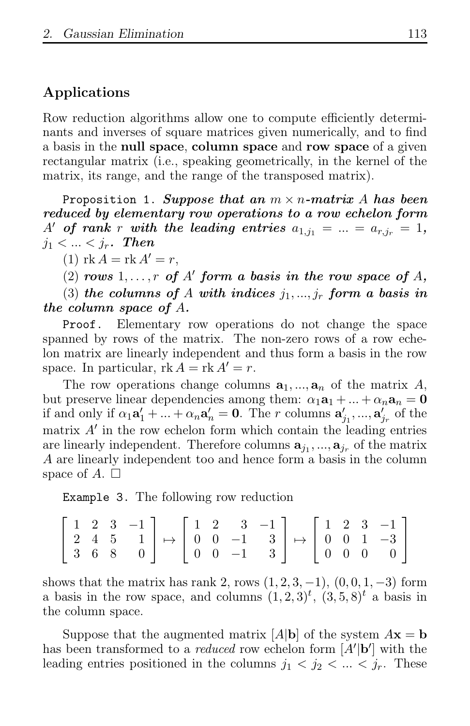# Applications

Row reduction algorithms allow one to compute efficiently determinants and inverses of square matrices given numerically, and to find a basis in the null space, column space and row space of a given rectangular matrix (i.e., speaking geometrically, in the kernel of the matrix, its range, and the range of the transposed matrix).

Proposition 1. Suppose that an  $m \times n$ -matrix A has been reduced by elementary row operations to a row echelon form A' of rank r with the leading entries  $a_{1,j_1} = ... = a_{r,j_r} = 1$ ,  $j_1 < ... < j_r$ . Then

(1)  $\text{rk } A = \text{rk } A' = r$ ,

(2) rows  $1, \ldots, r$  of  $A'$  form a basis in the row space of  $A$ ,

(3) the columns of A with indices  $j_1, ..., j_r$  form a basis in the column space of A.

Proof. Elementary row operations do not change the space spanned by rows of the matrix. The non-zero rows of a row echelon matrix are linearly independent and thus form a basis in the row space. In particular,  $rk A = rk A' = r$ .

The row operations change columns  $a_1, ..., a_n$  of the matrix A, but preserve linear dependencies among them:  $\alpha_1 \mathbf{a}_1 + ... + \alpha_n \mathbf{a}_n = \mathbf{0}$ if and only if  $\alpha_1 \mathbf{a}'_1 + \ldots + \alpha_n \mathbf{a}'_n = \mathbf{0}$ . The r columns  $\mathbf{a}'_{j_1}, ..., \mathbf{a}'_{j_r}$  of the matrix A′ in the row echelon form which contain the leading entries are linearly independent. Therefore columns  $\mathbf{a}_{j_1},...,\mathbf{a}_{j_r}$  of the matrix A are linearly independent too and hence form a basis in the column space of A.  $\Box$ 

Example 3. The following row reduction

|  |  |  |  |  |  |  | $\begin{bmatrix} 1 & 2 & 3 & -1 \\ 2 & 4 & 5 & 1 \\ 3 & 6 & 8 & 0 \end{bmatrix} \mapsto \begin{bmatrix} 1 & 2 & 3 & -1 \\ 0 & 0 & -1 & 3 \\ 0 & 0 & -1 & 3 \end{bmatrix} \mapsto \begin{bmatrix} 1 & 2 & 3 & -1 \\ 0 & 0 & 1 & -3 \\ 0 & 0 & 0 & 0 \end{bmatrix}$ |
|--|--|--|--|--|--|--|-------------------------------------------------------------------------------------------------------------------------------------------------------------------------------------------------------------------------------------------------------------------|

shows that the matrix has rank 2, rows  $(1, 2, 3, -1)$ ,  $(0, 0, 1, -3)$  form a basis in the row space, and columns  $(1, 2, 3)<sup>t</sup>$ ,  $(3, 5, 8)<sup>t</sup>$  a basis in the column space.

Suppose that the augmented matrix  $|A|\mathbf{b}|$  of the system  $A\mathbf{x} = \mathbf{b}$ has been transformed to a *reduced* row echelon form  $[A'|\mathbf{b}]$  with the leading entries positioned in the columns  $j_1 < j_2 < ... < j_r$ . These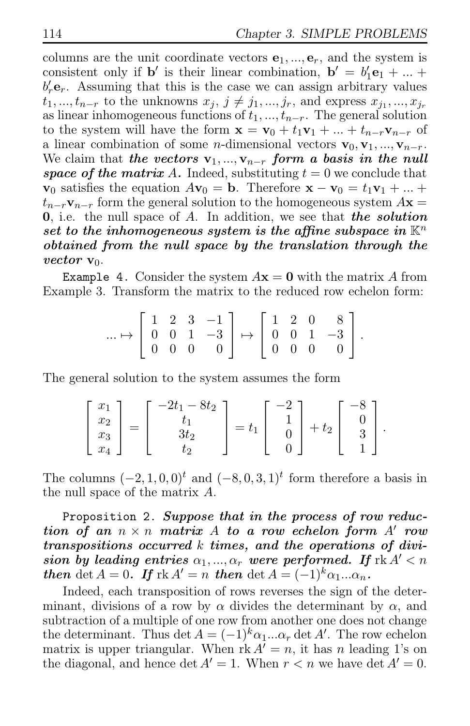columns are the unit coordinate vectors  $e_1, ..., e_r$ , and the system is consistent only if **b**' is their linear combination,  $\mathbf{b}' = b'_1 \mathbf{e}_1 + ...$  $b'_r$ **e**<sub>r</sub>. Assuming that this is the case we can assign arbitrary values  $t_1, ..., t_{n-r}$  to the unknowns  $x_j, j \neq j_1, ..., j_r$ , and express  $x_{j_1}, ..., x_{j_r}$ as linear inhomogeneous functions of  $t_1, ..., t_{n-r}$ . The general solution to the system will have the form  $\mathbf{x} = \mathbf{v}_0 + t_1 \mathbf{v}_1 + ... + t_{n-r} \mathbf{v}_{n-r}$  of a linear combination of some *n*-dimensional vectors  $\mathbf{v}_0, \mathbf{v}_1, ..., \mathbf{v}_{n-r}$ . We claim that the vectors  $v_1, ..., v_{n-r}$  form a basis in the null space of the matrix A. Indeed, substituting  $t = 0$  we conclude that  $\mathbf{v}_0$  satisfies the equation  $A\mathbf{v}_0 = \mathbf{b}$ . Therefore  $\mathbf{x} - \mathbf{v}_0 = t_1\mathbf{v}_1 + ...$  $t_{n-r}\mathbf{v}_{n-r}$  form the general solution to the homogeneous system  $A\mathbf{x} =$ 0, i.e. the null space of A. In addition, we see that the solution set to the inhomogeneous system is the affine subspace in  $\mathbb{K}^n$ obtained from the null space by the translation through the vector  $v_0$ .

Example 4. Consider the system  $A\mathbf{x} = \mathbf{0}$  with the matrix A from Example 3. Transform the matrix to the reduced row echelon form:

$$
\dots \mapsto \left[\begin{array}{rrr} 1 & 2 & 3 & -1 \\ 0 & 0 & 1 & -3 \\ 0 & 0 & 0 & 0 \end{array}\right] \mapsto \left[\begin{array}{rrr} 1 & 2 & 0 & 8 \\ 0 & 0 & 1 & -3 \\ 0 & 0 & 0 & 0 \end{array}\right].
$$

The general solution to the system assumes the form

$$
\begin{bmatrix} x_1 \\ x_2 \\ x_3 \\ x_4 \end{bmatrix} = \begin{bmatrix} -2t_1 - 8t_2 \\ t_1 \\ 3t_2 \\ t_2 \end{bmatrix} = t_1 \begin{bmatrix} -2 \\ 1 \\ 0 \\ 0 \end{bmatrix} + t_2 \begin{bmatrix} -8 \\ 0 \\ 3 \\ 1 \end{bmatrix}.
$$

The columns  $(-2, 1, 0, 0)^t$  and  $(-8, 0, 3, 1)^t$  form therefore a basis in the null space of the matrix A.

Proposition 2. Suppose that in the process of row reduction of an  $n \times n$  matrix A to a row echelon form A' row transpositions occurred k times, and the operations of division by leading entries  $\alpha_1, ..., \alpha_r$  were performed. If  $\mathrm{rk}\,A' < n$ then det  $A = 0$ . If  $\text{rk } A' = n$  then det  $A = (-1)^k \alpha_1 ... \alpha_n$ .

Indeed, each transposition of rows reverses the sign of the determinant, divisions of a row by  $\alpha$  divides the determinant by  $\alpha$ , and subtraction of a multiple of one row from another one does not change the determinant. Thus det  $A = (-1)^k \alpha_1 ... \alpha_r$  det A'. The row echelon matrix is upper triangular. When  $r \nvert k A^{\dagger} = n$ , it has n leading 1's on the diagonal, and hence det  $A' = 1$ . When  $r < n$  we have det  $A' = 0$ .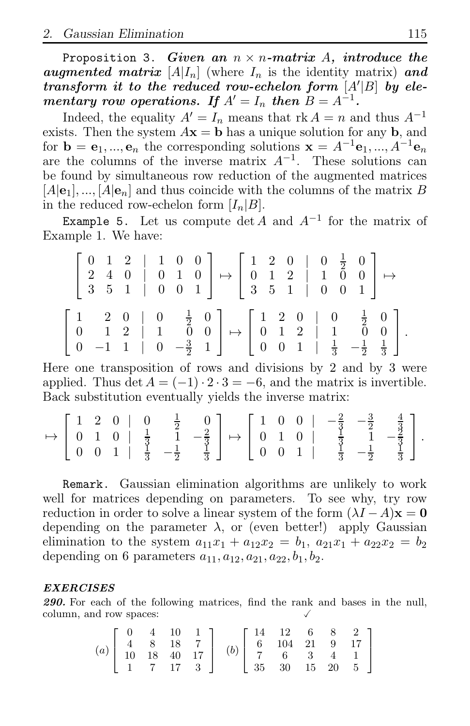Proposition 3. Given an  $n \times n$ -matrix A, introduce the augmented matrix  $[A|I_n]$  (where  $I_n$  is the identity matrix) and transform it to the reduced row-echelon form  $[A'|B]$  by elementary row operations. If  $A' = I_n$  then  $B = A^{-1}$ .

Indeed, the equality  $A' = I_n$  means that rk  $A = n$  and thus  $A^{-1}$ exists. Then the system  $A\mathbf{x} = \mathbf{b}$  has a unique solution for any **b**, and for  $\mathbf{b} = \mathbf{e}_1, ..., \mathbf{e}_n$  the corresponding solutions  $\mathbf{x} = A^{-1}\mathbf{e}_1, ..., A^{-1}\mathbf{e}_n$ are the columns of the inverse matrix  $A^{-1}$ . These solutions can be found by simultaneous row reduction of the augmented matrices  $[A]$ e<sub>1</sub>, ...,  $[A]$ e<sub>n</sub> and thus coincide with the columns of the matrix B in the reduced row-echelon form  $[I_n|B]$ .

Example 5. Let us compute  $\det A$  and  $A^{-1}$  for the matrix of Example 1. We have:

| $\left[\begin{array}{ccccc c} 0 & 1 & 2 & 1 & 0 & 0 \\ 2 & 4 & 0 & 0 & 1 & 0 \\ 3 & 5 & 1 & 0 & 0 & 1 \end{array}\right] \mapsto \left[\begin{array}{ccccc c} 1 & 2 & 0 & 0 & \frac{1}{2} & 0 \\ 0 & 1 & 2 & 1 & 0 & 0 \\ 3 & 5 & 1 & 0 & 0 & 1 \end{array}\right] \mapsto$                                             |  |  |  |  |  |  |  |
|-------------------------------------------------------------------------------------------------------------------------------------------------------------------------------------------------------------------------------------------------------------------------------------------------------------------------|--|--|--|--|--|--|--|
| $\left[\begin{array}{cccc c} 1 & 2 & 0 & 0 & \frac{1}{2} & 0 \\ 0 & 1 & 2 & 1 & 0 & 0 \\ 0 & -1 & 1 & 0 & -\frac{3}{2} & 1 \end{array}\right] \mapsto \left[\begin{array}{cccc c} 1 & 2 & 0 & 0 & \frac{1}{2} & 0 \\ 0 & 1 & 2 & 1 & 0 & 0 \\ 0 & 0 & 1 & \frac{1}{3} & -\frac{1}{2} & \frac{1}{3} \end{array}\right].$ |  |  |  |  |  |  |  |

Here one transposition of rows and divisions by 2 and by 3 were applied. Thus det  $A = (-1) \cdot 2 \cdot 3 = -6$ , and the matrix is invertible. Back substitution eventually yields the inverse matrix:

$$
\mapsto \left[\begin{array}{cccc|c} 1 & 2 & 0 & 0 & \frac{1}{2} & 0 \\ 0 & 1 & 0 & \frac{1}{3} & 1 & -\frac{2}{3} \\ 0 & 0 & 1 & \frac{1}{3} & -\frac{1}{2} & \frac{1}{3} \end{array}\right] \mapsto \left[\begin{array}{cccc|c} 1 & 0 & 0 & -\frac{2}{3} & -\frac{3}{2} & \frac{4}{3} \\ 0 & 1 & 0 & \frac{1}{3} & 1 & -\frac{2}{3} \\ 0 & 0 & 1 & \frac{1}{3} & -\frac{1}{2} & \frac{1}{3} \end{array}\right].
$$

Remark. Gaussian elimination algorithms are unlikely to work well for matrices depending on parameters. To see why, try row reduction in order to solve a linear system of the form  $(\lambda I - A)\mathbf{x} = \mathbf{0}$ depending on the parameter  $\lambda$ , or (even better!) apply Gaussian elimination to the system  $a_{11}x_1 + a_{12}x_2 = b_1$ ,  $a_{21}x_1 + a_{22}x_2 = b_2$ depending on 6 parameters  $a_{11}, a_{12}, a_{21}, a_{22}, b_1, b_2$ .

### EXERCISES

290. For each of the following matrices, find the rank and bases in the null, column, and row spaces:

$$
(a) \left[\begin{array}{cccc} 0 & 4 & 10 & 1 \\ 4 & 8 & 18 & 7 \\ 10 & 18 & 40 & 17 \\ 1 & 7 & 17 & 3 \end{array}\right] \quad (b) \left[\begin{array}{cccc} 14 & 12 & 6 & 8 & 2 \\ 6 & 104 & 21 & 9 & 17 \\ 7 & 6 & 3 & 4 & 1 \\ 35 & 30 & 15 & 20 & 5 \end{array}\right]
$$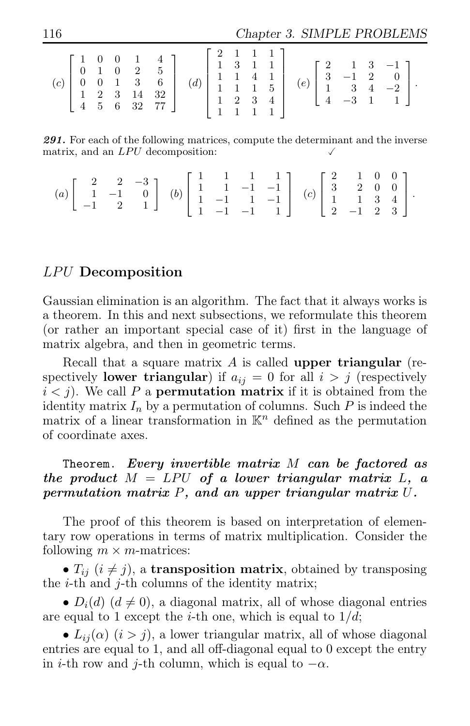116 Chapter 3. SIMPLE PROBLEMS

|  |  |  |  |  |  |  | $\begin{bmatrix} 2 & 1 & 1 & 1 \end{bmatrix}$<br>11111 |  |  |  |  |  |  |  |  |  |
|--|--|--|--|--|--|--|--------------------------------------------------------|--|--|--|--|--|--|--|--|--|
|--|--|--|--|--|--|--|--------------------------------------------------------|--|--|--|--|--|--|--|--|--|

291. For each of the following matrices, compute the determinant and the inverse matrix, and an  $LPU$  decomposition:

| $(a) \left[\begin{array}{rrr} 2 & 2 & -3 \\ 1 & -1 & 0 \\ -1 & 2 & 1 \end{array}\right] \quad (b) \left[\begin{array}{rrr} 1 & 1 & 1 & 1 \\ 1 & 1 & -1 & -1 \\ 1 & -1 & 1 & -1 \\ 1 & -1 & -1 & 1 \end{array}\right] \quad (c) \left[\begin{array}{rrr} 2 & 1 & 0 & 0 \\ 3 & 2 & 0 & 0 \\ 1 & 1 & 3 & 4 \\ 2 & -1 & 2 & 3 \end{array}\right].$ |  |  |  |  |  |  |  |  |  |
|------------------------------------------------------------------------------------------------------------------------------------------------------------------------------------------------------------------------------------------------------------------------------------------------------------------------------------------------|--|--|--|--|--|--|--|--|--|
|------------------------------------------------------------------------------------------------------------------------------------------------------------------------------------------------------------------------------------------------------------------------------------------------------------------------------------------------|--|--|--|--|--|--|--|--|--|

# LPU Decomposition

Gaussian elimination is an algorithm. The fact that it always works is a theorem. In this and next subsections, we reformulate this theorem (or rather an important special case of it) first in the language of matrix algebra, and then in geometric terms.

Recall that a square matrix  $A$  is called upper triangular (respectively **lower triangular**) if  $a_{ij} = 0$  for all  $i > j$  (respectively  $i < j$ ). We call P a **permutation matrix** if it is obtained from the identity matrix  $I_n$  by a permutation of columns. Such P is indeed the matrix of a linear transformation in  $\mathbb{K}^n$  defined as the permutation of coordinate axes.

# Theorem. Every invertible matrix  $M$  can be factored as the product  $M = LPU$  of a lower triangular matrix L, a permutation matrix P, and an upper triangular matrix U.

The proof of this theorem is based on interpretation of elementary row operations in terms of matrix multiplication. Consider the following  $m \times m$ -matrices:

•  $T_{ii}$  ( $i \neq j$ ), a transposition matrix, obtained by transposing the  $i$ -th and  $j$ -th columns of the identity matrix;

•  $D_i(d)$   $(d \neq 0)$ , a diagonal matrix, all of whose diagonal entries are equal to 1 except the *i*-th one, which is equal to  $1/d$ ;

•  $L_{ij}(\alpha)$   $(i > j)$ , a lower triangular matrix, all of whose diagonal entries are equal to 1, and all off-diagonal equal to 0 except the entry in *i*-th row and *j*-th column, which is equal to  $-\alpha$ .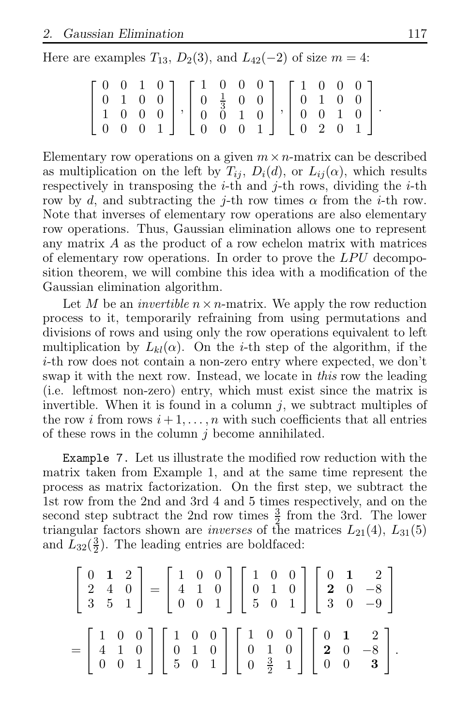Here are examples  $T_{13}$ ,  $D_2(3)$ , and  $L_{42}(-2)$  of size  $m = 4$ :

| $\left[\begin{array}{cccc} 0 & 0 & 1 & 0 \\ 0 & 1 & 0 & 0 \\ 1 & 0 & 0 & 0 \\ 0 & 0 & 0 & 1 \end{array}\right],\, \left[\begin{array}{cccc} 1 & 0 & 0 & 0 \\ 0 & \frac{1}{3} & 0 & 0 \\ 0 & 0 & 1 & 0 \\ 0 & 0 & 0 & 1 \end{array}\right],\, \left[\begin{array}{cccc} 1 & 0 & 0 & 0 \\ 0 & 1 & 0 & 0 \\ 0 & 0 & 1 & 0 \\ 0 & 2 & 0 & 1 \end{array}\right].$ |  |  |  |  |  |  |  |
|--------------------------------------------------------------------------------------------------------------------------------------------------------------------------------------------------------------------------------------------------------------------------------------------------------------------------------------------------------------|--|--|--|--|--|--|--|
|                                                                                                                                                                                                                                                                                                                                                              |  |  |  |  |  |  |  |
|                                                                                                                                                                                                                                                                                                                                                              |  |  |  |  |  |  |  |
|                                                                                                                                                                                                                                                                                                                                                              |  |  |  |  |  |  |  |

Elementary row operations on a given  $m \times n$ -matrix can be described as multiplication on the left by  $T_{ij}$ ,  $D_i(d)$ , or  $L_{ij}(\alpha)$ , which results respectively in transposing the *i*-th and *j*-th rows, dividing the *i*-th row by d, and subtracting the j-th row times  $\alpha$  from the i-th row. Note that inverses of elementary row operations are also elementary row operations. Thus, Gaussian elimination allows one to represent any matrix A as the product of a row echelon matrix with matrices of elementary row operations. In order to prove the  $LPU$  decomposition theorem, we will combine this idea with a modification of the Gaussian elimination algorithm.

Let M be an *invertible*  $n \times n$ -matrix. We apply the row reduction process to it, temporarily refraining from using permutations and divisions of rows and using only the row operations equivalent to left multiplication by  $L_{kl}(\alpha)$ . On the *i*-th step of the algorithm, if the i-th row does not contain a non-zero entry where expected, we don't swap it with the next row. Instead, we locate in this row the leading (i.e. leftmost non-zero) entry, which must exist since the matrix is invertible. When it is found in a column  $j$ , we subtract multiples of the row i from rows  $i+1,\ldots,n$  with such coefficients that all entries of these rows in the column  $i$  become annihilated.

Example 7. Let us illustrate the modified row reduction with the matrix taken from Example 1, and at the same time represent the process as matrix factorization. On the first step, we subtract the 1st row from the 2nd and 3rd 4 and 5 times respectively, and on the second step subtract the 2nd row times  $\frac{3}{2}$  from the 3rd. The lower triangular factors shown are *inverses* of the matrices  $L_{21}(4)$ ,  $L_{31}(5)$ and  $\tilde{L}_{32}(\frac{3}{2})$  $\frac{3}{2}$ ). The leading entries are boldfaced:

$$
\begin{bmatrix} 0 & 1 & 2 \ 2 & 4 & 0 \ 3 & 5 & 1 \end{bmatrix} = \begin{bmatrix} 1 & 0 & 0 \ 4 & 1 & 0 \ 0 & 0 & 1 \end{bmatrix} \begin{bmatrix} 1 & 0 & 0 \ 0 & 1 & 0 \ 5 & 0 & 1 \end{bmatrix} \begin{bmatrix} 0 & 1 & 2 \ 2 & 0 & -8 \ 3 & 0 & -9 \end{bmatrix}
$$

$$
= \begin{bmatrix} 1 & 0 & 0 \ 4 & 1 & 0 \ 0 & 0 & 1 \end{bmatrix} \begin{bmatrix} 1 & 0 & 0 \ 0 & 1 & 0 \ 5 & 0 & 1 \end{bmatrix} \begin{bmatrix} 1 & 0 & 0 \ 0 & 1 & 0 \ 0 & \frac{3}{2} & 1 \end{bmatrix} \begin{bmatrix} 0 & 1 & 2 \ 2 & 0 & -8 \ 0 & 0 & 3 \end{bmatrix}.
$$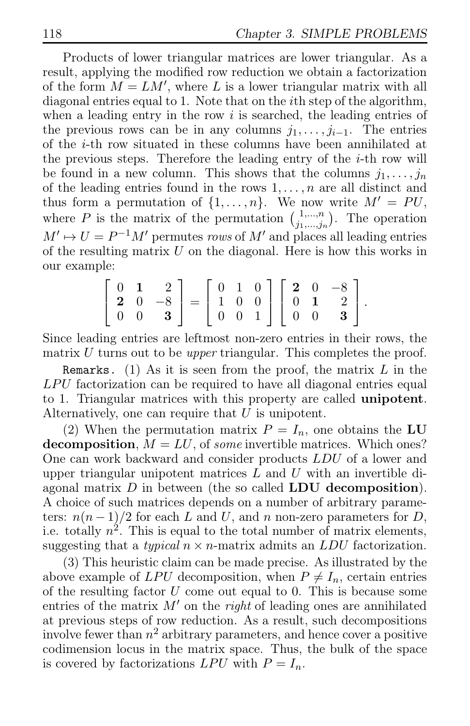Products of lower triangular matrices are lower triangular. As a result, applying the modified row reduction we obtain a factorization of the form  $M = LM'$ , where L is a lower triangular matrix with all diagonal entries equal to 1. Note that on the ith step of the algorithm, when a leading entry in the row  $i$  is searched, the leading entries of the previous rows can be in any columns  $j_1, \ldots, j_{i-1}$ . The entries of the i-th row situated in these columns have been annihilated at the previous steps. Therefore the leading entry of the  $i$ -th row will be found in a new column. This shows that the columns  $j_1, \ldots, j_n$ of the leading entries found in the rows  $1, \ldots, n$  are all distinct and thus form a permutation of  $\{1, \ldots, n\}$ . We now write  $M' = PU$ , where P is the matrix of the permutation  $\begin{pmatrix} 1,...,n \\ i, \dots, i \end{pmatrix}$  $j_1,...,j_n$ . The operation  $M' \rightarrow U = P^{-1}M'$  permutes rows of M' and places all leading entries of the resulting matrix  $U$  on the diagonal. Here is how this works in our example:

$$
\left[\begin{array}{ccc} 0 & 1 & 2 \\ 2 & 0 & -8 \\ 0 & 0 & 3 \end{array}\right] = \left[\begin{array}{ccc} 0 & 1 & 0 \\ 1 & 0 & 0 \\ 0 & 0 & 1 \end{array}\right] \left[\begin{array}{ccc} 2 & 0 & -8 \\ 0 & 1 & 2 \\ 0 & 0 & 3 \end{array}\right].
$$

Since leading entries are leftmost non-zero entries in their rows, the matrix  $U$  turns out to be *upper* triangular. This completes the proof.

Remarks. (1) As it is seen from the proof, the matrix  $L$  in the  $LPU$  factorization can be required to have all diagonal entries equal to 1. Triangular matrices with this property are called unipotent. Alternatively, one can require that  $U$  is unipotent.

(2) When the permutation matrix  $P = I_n$ , one obtains the LU decomposition,  $M = LU$ , of some invertible matrices. Which ones? One can work backward and consider products LDU of a lower and upper triangular unipotent matrices  $L$  and  $U$  with an invertible diagonal matrix  $D$  in between (the so called LDU decomposition). A choice of such matrices depends on a number of arbitrary parameters:  $n(n-1)/2$  for each L and U, and n non-zero parameters for D, i.e. totally  $n^2$ . This is equal to the total number of matrix elements, suggesting that a *typical*  $n \times n$ -matrix admits an *LDU* factorization.

(3) This heuristic claim can be made precise. As illustrated by the above example of LPU decomposition, when  $P \neq I_n$ , certain entries of the resulting factor  $U$  come out equal to 0. This is because some entries of the matrix  $M'$  on the *right* of leading ones are annihilated at previous steps of row reduction. As a result, such decompositions involve fewer than  $n^2$  arbitrary parameters, and hence cover a positive codimension locus in the matrix space. Thus, the bulk of the space is covered by factorizations  $LPU$  with  $P = I_n$ .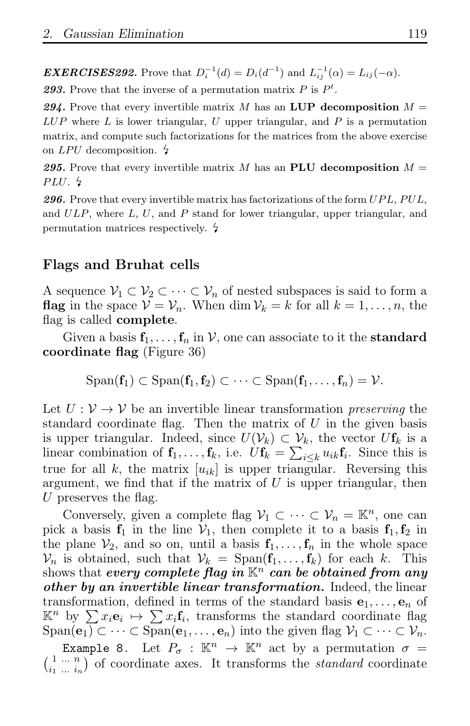**EXERCISES292.** Prove that  $D_i^{-1}(d) = D_i(d^{-1})$  and  $L_{ij}^{-1}(\alpha) = L_{ij}(-\alpha)$ .

293. Prove that the inverse of a permutation matrix  $P$  is  $P<sup>t</sup>$ .

294. Prove that every invertible matrix M has an LUP decomposition  $M =$  $LUP$  where L is lower triangular, U upper triangular, and P is a permutation matrix, and compute such factorizations for the matrices from the above exercise on LPU decomposition.  $\frac{1}{2}$ 

295. Prove that every invertible matrix M has an **PLU** decomposition  $M =$ PLU.  $\frac{1}{2}$ 

**296.** Prove that every invertible matrix has factorizations of the form  $UPL$ ,  $PUL$ , and  $ULP$ , where  $L, U$ , and  $P$  stand for lower triangular, upper triangular, and permutation matrices respectively.

# Flags and Bruhat cells

A sequence  $\mathcal{V}_1 \subset \mathcal{V}_2 \subset \cdots \subset \mathcal{V}_n$  of nested subspaces is said to form a **flag** in the space  $V = V_n$ . When dim  $V_k = k$  for all  $k = 1, ..., n$ , the flag is called complete.

Given a basis  $f_1, \ldots, f_n$  in V, one can associate to it the **standard** coordinate flag (Figure 36)

$$
\mathrm{Span}(\mathbf{f}_1) \subset \mathrm{Span}(\mathbf{f}_1, \mathbf{f}_2) \subset \cdots \subset \mathrm{Span}(\mathbf{f}_1, \ldots, \mathbf{f}_n) = \mathcal{V}.
$$

Let  $U: V \to V$  be an invertible linear transformation *preserving* the standard coordinate flag. Then the matrix of  $U$  in the given basis is upper triangular. Indeed, since  $U(\mathcal{V}_k) \subset \mathcal{V}_k$ , the vector  $U\mathbf{f}_k$  is a linear combination of  $\mathbf{f}_1, \ldots, \mathbf{f}_k$ , i.e.  $U\mathbf{f}_k = \sum_{i \leq k} u_{ik}\mathbf{f}_i$ . Since this is true for all k, the matrix  $[u_{ik}]$  is upper triangular. Reversing this argument, we find that if the matrix of  $U$  is upper triangular, then U preserves the flag.

Conversely, given a complete flag  $V_1 \subset \cdots \subset V_n = \mathbb{K}^n$ , one can pick a basis  $f_1$  in the line  $V_1$ , then complete it to a basis  $f_1, f_2$  in the plane  $V_2$ , and so on, until a basis  $f_1, \ldots, f_n$  in the whole space  $\mathcal{V}_n$  is obtained, such that  $\mathcal{V}_k = \text{Span}(\mathbf{f}_1, \dots, \mathbf{f}_k)$  for each k. This shows that every complete flag in  $\mathbb{K}^n$  can be obtained from any other by an invertible linear transformation. Indeed, the linear transformation, defined in terms of the standard basis  $e_1, \ldots, e_n$  of  $\mathbb{K}^n$  by  $\sum x_i \mathbf{e}_i \mapsto \sum x_i \mathbf{f}_i$ , transforms the standard coordinate flag Span( $\overline{e_1}$ ) ⊂ · · · ⊂ Span( $e_1$ , · · · ,  $e_n$ ) into the given flag  $\mathcal{V}_1 \subset \cdots \subset \mathcal{V}_n$ .<br>Example 8. Let  $P_{\sigma} : \mathbb{K}^n \to \mathbb{K}^n$  act by a permutation  $\sigma =$ 

Example 8. Let  $P_{\sigma} : \mathbb{K}^n \to \mathbb{K}^n$  act by a permutation  $\sigma = \begin{pmatrix} 1 & \cdots & n \\ i & \cdots & i \end{pmatrix}$  of coordinate axes. It transforms the *standard* coordinate  $\binom{1}{i_1 \cdots i_n}$  of coordinate axes. It transforms the *standard* coordinate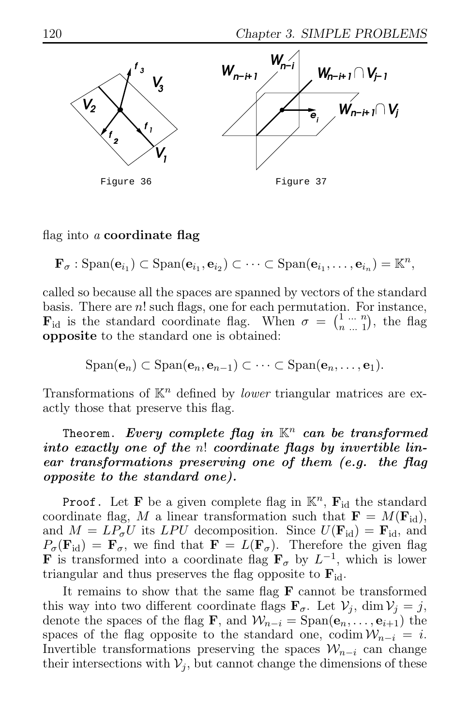

### flag into a coordinate flag

 $\mathbf{F}_{\sigma} : \text{Span}(\mathbf{e}_{i_1}) \subset \text{Span}(\mathbf{e}_{i_1}, \mathbf{e}_{i_2}) \subset \cdots \subset \text{Span}(\mathbf{e}_{i_1}, \ldots, \mathbf{e}_{i_n}) = \mathbb{K}^n$ 

called so because all the spaces are spanned by vectors of the standard basis. There are  $n!$  such flags, one for each permutation. For instance,  $\mathbf{F}_{\text{id}}$  is the standard coordinate flag. When  $\sigma = \begin{pmatrix} 1 & \cdots & n \\ n & 1 & 1 \end{pmatrix}$  $\binom{n}{n}$ ...  $\binom{n}{1}$ , the flag opposite to the standard one is obtained:

$$
\mathrm{Span}(\mathbf{e}_n) \subset \mathrm{Span}(\mathbf{e}_n, \mathbf{e}_{n-1}) \subset \cdots \subset \mathrm{Span}(\mathbf{e}_n, \ldots, \mathbf{e}_1).
$$

Transformations of  $\mathbb{K}^n$  defined by *lower* triangular matrices are exactly those that preserve this flag.

# Theorem. Every complete flag in  $K^n$  can be transformed into exactly one of the n! coordinate flags by invertible linear transformations preserving one of them (e.g. the flag opposite to the standard one).

**Proof.** Let **F** be a given complete flag in  $\mathbb{K}^n$ , **F**<sub>id</sub> the standard coordinate flag, M a linear transformation such that  $\mathbf{F} = M(\mathbf{F}_{\text{id}})$ , and  $M = LP_{\sigma}U$  its LPU decomposition. Since  $U(\mathbf{F}_{id}) = \mathbf{F}_{id}$ , and  $P_{\sigma}(\mathbf{F}_{id}) = \mathbf{F}_{\sigma}$ , we find that  $\mathbf{F} = L(\mathbf{F}_{\sigma})$ . Therefore the given flag **F** is transformed into a coordinate flag  $\mathbf{F}_{\sigma}$  by  $L^{-1}$ , which is lower triangular and thus preserves the flag opposite to  $\mathbf{F}_{\text{id}}$ .

It remains to show that the same flag  $\bf{F}$  cannot be transformed this way into two different coordinate flags  $\mathbf{F}_{\sigma}$ . Let  $\mathcal{V}_i$ , dim  $\mathcal{V}_i = j$ , denote the spaces of the flag **F**, and  $\mathcal{W}_{n-i} = \text{Span}(\mathbf{e}_n, \dots, \mathbf{e}_{i+1})$  the spaces of the flag opposite to the standard one, codim  $\mathcal{W}_{n-i} = i$ . Invertible transformations preserving the spaces  $\mathcal{W}_{n-i}$  can change their intersections with  $V_i$ , but cannot change the dimensions of these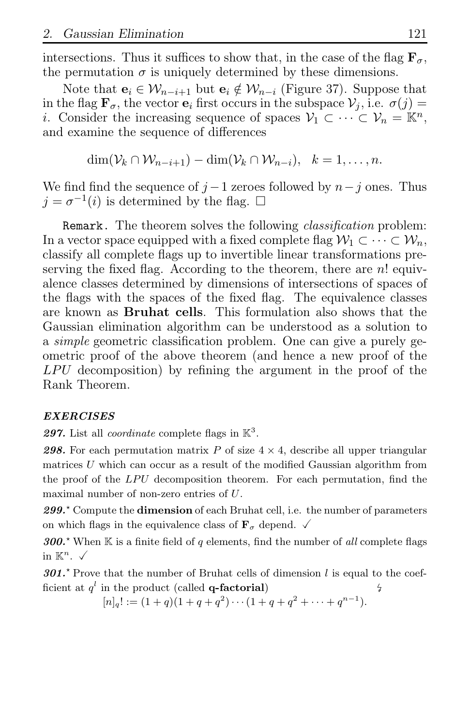intersections. Thus it suffices to show that, in the case of the flag  $\mathbf{F}_{\sigma}$ , the permutation  $\sigma$  is uniquely determined by these dimensions.

Note that  $\mathbf{e}_i \in \mathcal{W}_{n-i+1}$  but  $\mathbf{e}_i \notin \mathcal{W}_{n-i}$  (Figure 37). Suppose that in the flag  $\mathbf{F}_{\sigma}$ , the vector  $\mathbf{e}_i$  first occurs in the subspace  $\mathcal{V}_i$ , i.e.  $\sigma(j)$  = *i*. Consider the increasing sequence of spaces  $\mathcal{V}_1 \subset \cdots \subset \mathcal{V}_n = \mathbb{K}^n$ , and examine the sequence of differences

 $\dim(\mathcal{V}_k \cap \mathcal{W}_{n-i+1}) - \dim(\mathcal{V}_k \cap \mathcal{W}_{n-i}), \quad k = 1, \ldots, n.$ 

We find find the sequence of  $j-1$  zeroes followed by  $n-j$  ones. Thus  $j = \sigma^{-1}(i)$  is determined by the flag.  $\square$ 

Remark. The theorem solves the following *classification* problem: In a vector space equipped with a fixed complete flag  $\mathcal{W}_1 \subset \cdots \subset \mathcal{W}_n$ , classify all complete flags up to invertible linear transformations preserving the fixed flag. According to the theorem, there are  $n!$  equivalence classes determined by dimensions of intersections of spaces of the flags with the spaces of the fixed flag. The equivalence classes are known as Bruhat cells. This formulation also shows that the Gaussian elimination algorithm can be understood as a solution to a simple geometric classification problem. One can give a purely geometric proof of the above theorem (and hence a new proof of the  $LPU$  decomposition) by refining the argument in the proof of the Rank Theorem.

### EXERCISES

297. List all *coordinate* complete flags in  $\mathbb{K}^3$ .

**298.** For each permutation matrix P of size  $4 \times 4$ , describe all upper triangular matrices  $U$  which can occur as a result of the modified Gaussian algorithm from the proof of the  $LPU$  decomposition theorem. For each permutation, find the maximal number of non-zero entries of U.

 $299.^{\circ}$  Compute the **dimension** of each Bruhat cell, i.e. the number of parameters on which flags in the equivalence class of  $\mathbf{F}_{\sigma}$  depend.  $\checkmark$ 

300.<sup> $\star$ </sup> When K is a finite field of q elements, find the number of all complete flags in  $\mathbb{K}^n$ .  $\checkmark$ 

301.<sup> $\star$ </sup> Prove that the number of Bruhat cells of dimension l is equal to the coefficient at  $q^l$  in the product (called **q-factorial**)  $\frac{1}{2}$ 

 $[n]_q! := (1+q)(1+q+q^2)\cdots(1+q+q^2+\cdots+q^{n-1}).$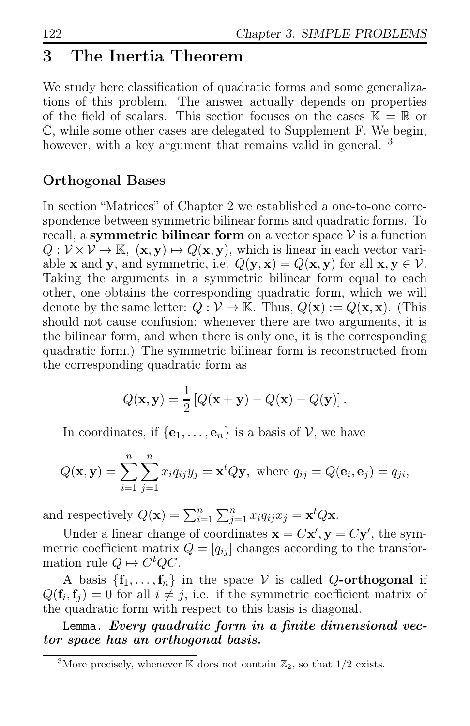# 3 The Inertia Theorem

We study here classification of quadratic forms and some generalizations of this problem. The answer actually depends on properties of the field of scalars. This section focuses on the cases  $\mathbb{K} = \mathbb{R}$  or C, while some other cases are delegated to Supplement F. We begin, however, with a key argument that remains valid in general.<sup>3</sup>

# Orthogonal Bases

In section "Matrices" of Chapter 2 we established a one-to-one correspondence between symmetric bilinear forms and quadratic forms. To recall, a symmetric bilinear form on a vector space  $V$  is a function  $Q: \mathcal{V} \times \mathcal{V} \to \mathbb{K}$ ,  $(\mathbf{x}, \mathbf{y}) \mapsto Q(\mathbf{x}, \mathbf{y})$ , which is linear in each vector variable **x** and **y**, and symmetric, i.e.  $Q(\mathbf{y}, \mathbf{x}) = Q(\mathbf{x}, \mathbf{y})$  for all  $\mathbf{x}, \mathbf{y} \in \mathcal{V}$ . Taking the arguments in a symmetric bilinear form equal to each other, one obtains the corresponding quadratic form, which we will denote by the same letter:  $Q : \mathcal{V} \to \mathbb{K}$ . Thus,  $Q(\mathbf{x}) := Q(\mathbf{x}, \mathbf{x})$ . (This should not cause confusion: whenever there are two arguments, it is the bilinear form, and when there is only one, it is the corresponding quadratic form.) The symmetric bilinear form is reconstructed from the corresponding quadratic form as

$$
Q(\mathbf{x}, \mathbf{y}) = \frac{1}{2} [Q(\mathbf{x} + \mathbf{y}) - Q(\mathbf{x}) - Q(\mathbf{y})].
$$

In coordinates, if  $\{e_1, \ldots, e_n\}$  is a basis of V, we have

$$
Q(\mathbf{x}, \mathbf{y}) = \sum_{i=1}^{n} \sum_{j=1}^{n} x_i q_{ij} y_j = \mathbf{x}^t Q \mathbf{y}, \text{ where } q_{ij} = Q(\mathbf{e}_i, \mathbf{e}_j) = q_{ji},
$$

and respectively  $Q(\mathbf{x}) = \sum_{i=1}^{n} \sum_{j=1}^{n} x_i q_{ij} x_j = \mathbf{x}^t Q \mathbf{x}$ .

Under a linear change of coordinates  $\mathbf{x} = C\mathbf{x}', \mathbf{y} = C\mathbf{y}'$ , the symmetric coefficient matrix  $Q = [q_{ij}]$  changes according to the transformation rule  $Q \mapsto C^t Q C$ .

A basis  $\{f_1, \ldots, f_n\}$  in the space V is called Q-orthogonal if  $Q(\mathbf{f}_i, \mathbf{f}_j) = 0$  for all  $i \neq j$ , i.e. if the symmetric coefficient matrix of the quadratic form with respect to this basis is diagonal.

Lemma. Every quadratic form in a finite dimensional vector space has an orthogonal basis.

<sup>&</sup>lt;sup>3</sup>More precisely, whenever K does not contain  $\mathbb{Z}_2$ , so that  $1/2$  exists.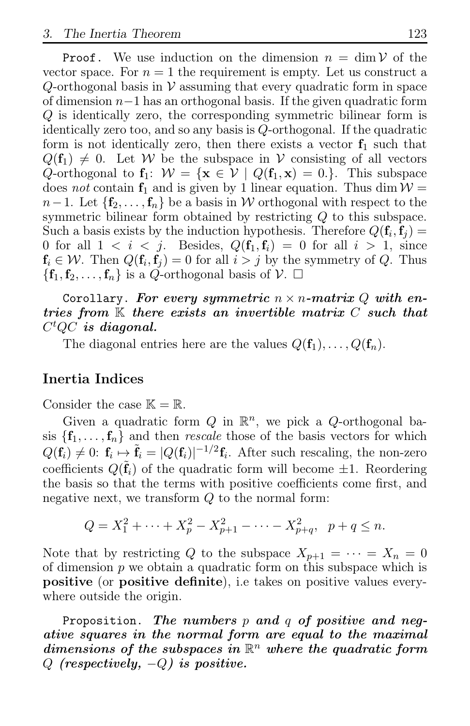**Proof.** We use induction on the dimension  $n = \dim V$  of the vector space. For  $n = 1$  the requirement is empty. Let us construct a Q-orthogonal basis in  $V$  assuming that every quadratic form in space of dimension  $n-1$  has an orthogonal basis. If the given quadratic form Q is identically zero, the corresponding symmetric bilinear form is identically zero too, and so any basis is Q-orthogonal. If the quadratic form is not identically zero, then there exists a vector  $f_1$  such that  $Q(\mathbf{f}_1) \neq 0$ . Let W be the subspace in V consisting of all vectors Q-orthogonal to  $f_1$ :  $W = \{x \in V \mid Q(f_1, x) = 0.\}$ . This subspace does not contain  $f_1$  and is given by 1 linear equation. Thus dim  $W =$  $n-1$ . Let  $\{f_2, \ldots, f_n\}$  be a basis in W orthogonal with respect to the symmetric bilinear form obtained by restricting Q to this subspace. Such a basis exists by the induction hypothesis. Therefore  $Q(\mathbf{f}_i, \mathbf{f}_j) =$ 0 for all  $1 < i < j$ . Besides,  $Q(\mathbf{f}_1, \mathbf{f}_i) = 0$  for all  $i > 1$ , since  $f_i \in \mathcal{W}$ . Then  $Q(f_i, f_j) = 0$  for all  $i > j$  by the symmetry of Q. Thus  $\{f_1, f_2, \ldots, f_n\}$  is a Q-orthogonal basis of  $\mathcal{V}$ .  $\Box$ 

Corollary. For every symmetric  $n \times n$ -matrix Q with entries from  $K$  there exists an invertible matrix  $C$  such that  $C^tQC$  is diagonal.

The diagonal entries here are the values  $Q(\mathbf{f}_1), \ldots, Q(\mathbf{f}_n)$ .

### Inertia Indices

Consider the case  $\mathbb{K} = \mathbb{R}$ .

Given a quadratic form  $Q$  in  $\mathbb{R}^n$ , we pick a  $Q$ -orthogonal basis  $\{f_1, \ldots, f_n\}$  and then *rescale* those of the basis vectors for which  $Q(\mathbf{f}_i) \neq 0$ :  $\mathbf{f}_i \mapsto \tilde{\mathbf{f}}_i = |Q(\mathbf{f}_i)|^{-1/2} \mathbf{f}_i$ . After such rescaling, the non-zero coefficients  $Q(\tilde{\mathbf{f}}_i)$  of the quadratic form will become  $\pm 1$ . Reordering the basis so that the terms with positive coefficients come first, and negative next, we transform  $Q$  to the normal form:

$$
Q = X_1^2 + \dots + X_p^2 - X_{p+1}^2 - \dots - X_{p+q}^2, \ \ p+q \le n.
$$

Note that by restricting Q to the subspace  $X_{p+1} = \cdots = X_n = 0$ of dimension  $p$  we obtain a quadratic form on this subspace which is positive (or positive definite), i.e takes on positive values everywhere outside the origin.

Proposition. The numbers  $p$  and  $q$  of positive and negative squares in the normal form are equal to the maximal dimensions of the subspaces in  $\mathbb{R}^n$  where the quadratic form  $Q$  (respectively,  $-Q$ ) is positive.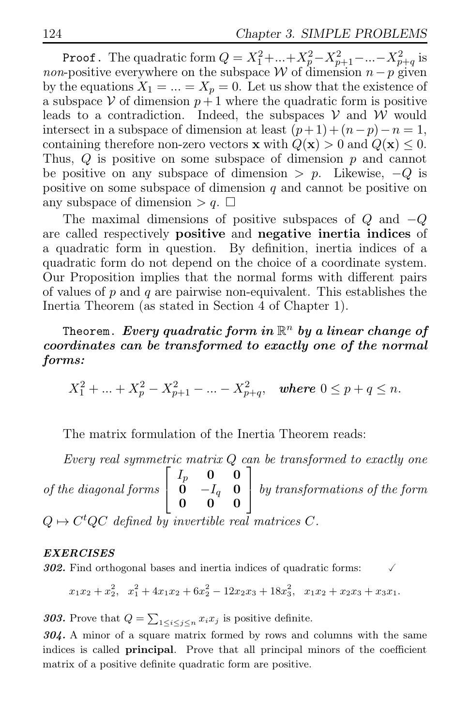Proof. The quadratic form  $Q = X_1^2 + ... + X_p^2 - X_{p+1}^2 - ... - X_{p+q}^2$  is non-positive everywhere on the subspace W of dimension  $n-p$  given by the equations  $X_1 = ... = X_p = 0$ . Let us show that the existence of a subspace V of dimension  $p+1$  where the quadratic form is positive leads to a contradiction. Indeed, the subspaces  $V$  and  $W$  would intersect in a subspace of dimension at least  $(p+1)+(n-p)-n=1$ , containing therefore non-zero vectors **x** with  $Q(\mathbf{x}) > 0$  and  $Q(\mathbf{x}) \leq 0$ . Thus,  $Q$  is positive on some subspace of dimension  $p$  and cannot be positive on any subspace of dimension  $\geq p$ . Likewise,  $-Q$  is positive on some subspace of dimension  $q$  and cannot be positive on any subspace of dimension  $> q$ .  $\square$ 

The maximal dimensions of positive subspaces of  $Q$  and  $-Q$ are called respectively positive and negative inertia indices of a quadratic form in question. By definition, inertia indices of a quadratic form do not depend on the choice of a coordinate system. Our Proposition implies that the normal forms with different pairs of values of p and q are pairwise non-equivalent. This establishes the Inertia Theorem (as stated in Section 4 of Chapter 1).

# Theorem. *Every quadratic form in*  $\mathbb{R}^n$  by a linear change of coordinates can be transformed to exactly one of the normal forms:

$$
X_1^2 + \ldots + X_p^2 - X_{p+1}^2 - \ldots - X_{p+q}^2, \quad \text{where } 0 \le p+q \le n.
$$

The matrix formulation of the Inertia Theorem reads:

Every real symmetric matrix Q can be transformed to exactly one of the diagonal forms  $\sqrt{ }$  $\overline{1}$  $I_p$  0 0  $\begin{array}{cc} 0 & -I_q & 0 \\ 0 & 0 & 0 \end{array}$ 0 0 0 1 by transformations of the form  $Q \mapsto C^t Q C$  defined by invertible real matrices C.

### EXERCISES

302. Find orthogonal bases and inertia indices of quadratic forms:

$$
x_1x_2 + x_2^2
$$
,  $x_1^2 + 4x_1x_2 + 6x_2^2 - 12x_2x_3 + 18x_3^2$ ,  $x_1x_2 + x_2x_3 + x_3x_1$ .

**303.** Prove that  $Q = \sum_{1 \leq i \leq j \leq n} x_i x_j$  is positive definite.

304. A minor of a square matrix formed by rows and columns with the same indices is called principal. Prove that all principal minors of the coefficient matrix of a positive definite quadratic form are positive.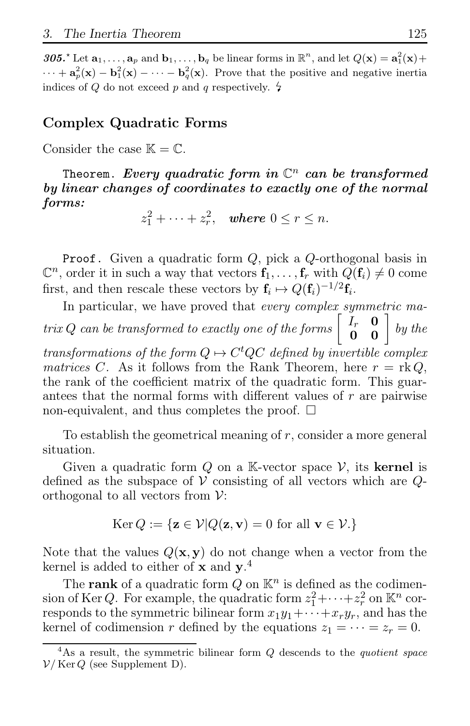305.<sup>\*</sup> Let  $\mathbf{a}_1, \ldots, \mathbf{a}_p$  and  $\mathbf{b}_1, \ldots, \mathbf{b}_q$  be linear forms in  $\mathbb{R}^n$ , and let  $Q(\mathbf{x}) = \mathbf{a}_1^2(\mathbf{x}) +$  $\cdots + a_p^2(x) - b_1^2(x) - \cdots - b_q^2(x)$ . Prove that the positive and negative inertia indices of Q do not exceed p and q respectively.  $\sharp$ 

# Complex Quadratic Forms

Consider the case  $\mathbb{K} = \mathbb{C}$ .

Theorem. *Every quadratic form in*  $\mathbb{C}^n$  *can be transformed* by linear changes of coordinates to exactly one of the normal forms:

 $z_1^2 + \cdots + z_r^2$  $r^2$ , where  $0 \le r \le n$ .

**Proof.** Given a quadratic form  $Q$ , pick a  $Q$ -orthogonal basis in  $\mathbb{C}^n$ , order it in such a way that vectors  $\mathbf{f}_1, \ldots, \mathbf{f}_r$  with  $Q(\mathbf{f}_i) \neq 0$  come first, and then rescale these vectors by  $\mathbf{f}_i \mapsto Q(\mathbf{f}_i)^{-1/2} \mathbf{f}_i$ .

In particular, we have proved that *every complex symmetric ma*trix Q can be transformed to exactly one of the forms  $\begin{bmatrix} I_r & \mathbf{0} \\ \mathbf{0} & \mathbf{0} \end{bmatrix}$  by the

transformations of the form  $Q \mapsto C^t Q C$  defined by invertible complex matrices C. As it follows from the Rank Theorem, here  $r = \text{rk } Q$ . the rank of the coefficient matrix of the quadratic form. This guarantees that the normal forms with different values of r are pairwise non-equivalent, and thus completes the proof.  $\square$ 

To establish the geometrical meaning of  $r$ , consider a more general situation.

Given a quadratic form  $Q$  on a K-vector space  $V$ , its **kernel** is defined as the subspace of  $V$  consisting of all vectors which are  $Q$ orthogonal to all vectors from  $\mathcal{V}$ :

$$
\operatorname{Ker} Q := \{ \mathbf{z} \in \mathcal{V} | Q(\mathbf{z}, \mathbf{v}) = 0 \text{ for all } \mathbf{v} \in \mathcal{V}.\}
$$

Note that the values  $Q(\mathbf{x}, \mathbf{y})$  do not change when a vector from the kernel is added to either of **x** and  $y^4$ .

The rank of a quadratic form  $Q$  on  $\mathbb{K}^n$  is defined as the codimension of Ker Q. For example, the quadratic form  $z_1^2 + \cdots + z_r^2$  on  $\mathbb{K}^n$  corresponds to the symmetric bilinear form  $x_1y_1+\cdots+x_ry_r$ , and has the kernel of codimension r defined by the equations  $z_1 = \cdots = z_r = 0$ .

<sup>&</sup>lt;sup>4</sup>As a result, the symmetric bilinear form  $Q$  descends to the *quotient space*  $V/Ker Q$  (see Supplement D).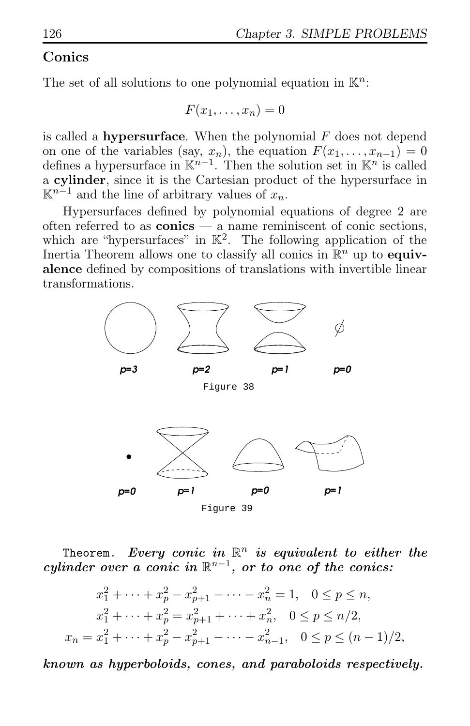# Conics

The set of all solutions to one polynomial equation in  $\mathbb{K}^n$ :

$$
F(x_1,\ldots,x_n)=0
$$

is called a **hypersurface**. When the polynomial  $F$  does not depend on one of the variables (say,  $x_n$ ), the equation  $F(x_1, \ldots, x_{n-1}) = 0$ defines a hypersurface in  $\mathbb{K}^{n-1}$ . Then the solution set in  $\mathbb{K}^n$  is called a cylinder, since it is the Cartesian product of the hypersurface in  $\mathbb{K}^{n-1}$  and the line of arbitrary values of  $x_n$ .

Hypersurfaces defined by polynomial equations of degree 2 are often referred to as  $conics - a$  name reminiscent of conic sections, which are "hypersurfaces" in  $\mathbb{K}^2$ . The following application of the Inertia Theorem allows one to classify all conics in  $\mathbb{R}^n$  up to **equiv**alence defined by compositions of translations with invertible linear transformations.



Theorem. Every conic in  $\mathbb{R}^n$  is equivalent to either the cylinder over a conic in  $\mathbb{R}^{n-1}$ , or to one of the conics:

$$
x_1^2 + \dots + x_p^2 - x_{p+1}^2 - \dots - x_n^2 = 1, \quad 0 \le p \le n,
$$
  
\n
$$
x_1^2 + \dots + x_p^2 = x_{p+1}^2 + \dots + x_n^2, \quad 0 \le p \le n/2,
$$
  
\n
$$
x_n = x_1^2 + \dots + x_p^2 - x_{p+1}^2 - \dots - x_{n-1}^2, \quad 0 \le p \le (n-1)/2,
$$

known as hyperboloids, cones, and paraboloids respectively.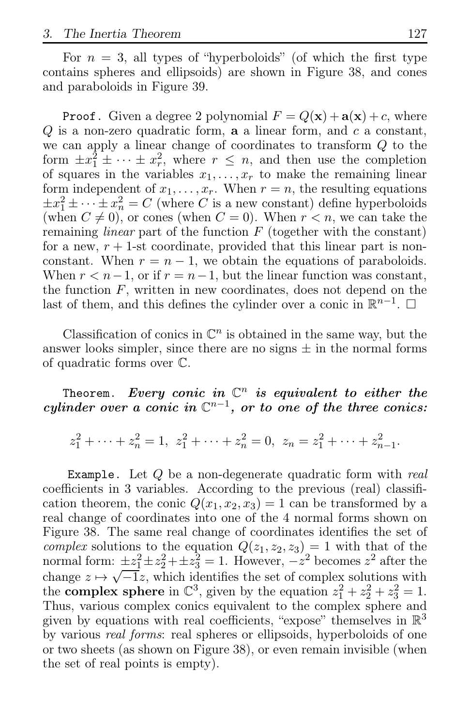For  $n = 3$ , all types of "hyperboloids" (of which the first type contains spheres and ellipsoids) are shown in Figure 38, and cones and paraboloids in Figure 39.

**Proof.** Given a degree 2 polynomial  $F = Q(\mathbf{x}) + \mathbf{a}(\mathbf{x}) + c$ , where  $Q$  is a non-zero quadratic form, **a** a linear form, and  $c$  a constant, we can apply a linear change of coordinates to transform  $Q$  to the form  $\pm x_1^2 \pm \cdots \pm x_r^2$ , where  $r \leq n$ , and then use the completion of squares in the variables  $x_1, \ldots, x_r$  to make the remaining linear form independent of  $x_1, \ldots, x_r$ . When  $r = n$ , the resulting equations  $\pm x_1^2 \pm \cdots \pm x_n^2 = C$  (where C is a new constant) define hyperboloids (when  $C \neq 0$ ), or cones (when  $C = 0$ ). When  $r < n$ , we can take the remaining *linear* part of the function  $F$  (together with the constant) for a new,  $r + 1$ -st coordinate, provided that this linear part is nonconstant. When  $r = n - 1$ , we obtain the equations of paraboloids. When  $r < n-1$ , or if  $r = n-1$ , but the linear function was constant, the function  $F$ , written in new coordinates, does not depend on the last of them, and this defines the cylinder over a conic in  $\mathbb{R}^{n-1}$ .  $\Box$ 

Classification of conics in  $\mathbb{C}^n$  is obtained in the same way, but the answer looks simpler, since there are no signs  $\pm$  in the normal forms of quadratic forms over C.

Theorem. Every conic in  $\mathbb{C}^n$  is equivalent to either the cylinder over a conic in  $\mathbb{C}^{n-1}$ , or to one of the three conics:

$$
z_1^2 + \dots + z_n^2 = 1
$$
,  $z_1^2 + \dots + z_n^2 = 0$ ,  $z_n = z_1^2 + \dots + z_{n-1}^2$ .

**Example.** Let  $Q$  be a non-degenerate quadratic form with real coefficients in 3 variables. According to the previous (real) classification theorem, the conic  $Q(x_1, x_2, x_3) = 1$  can be transformed by a real change of coordinates into one of the 4 normal forms shown on Figure 38. The same real change of coordinates identifies the set of complex solutions to the equation  $Q(z_1, z_2, z_3) = 1$  with that of the normal form:  $\pm z_1^2 \pm z_2^2 + \pm z_3^2 = 1$ . However,  $-z^2$  becomes  $z^2$  after the change  $z \mapsto \sqrt{-1}z$ , which identifies the set of complex solutions with the **complex sphere** in  $\mathbb{C}^3$ , given by the equation  $z_1^2 + z_2^2 + z_3^2 = 1$ . Thus, various complex conics equivalent to the complex sphere and given by equations with real coefficients, "expose" themselves in  $\mathbb{R}^3$ by various real forms: real spheres or ellipsoids, hyperboloids of one or two sheets (as shown on Figure 38), or even remain invisible (when the set of real points is empty).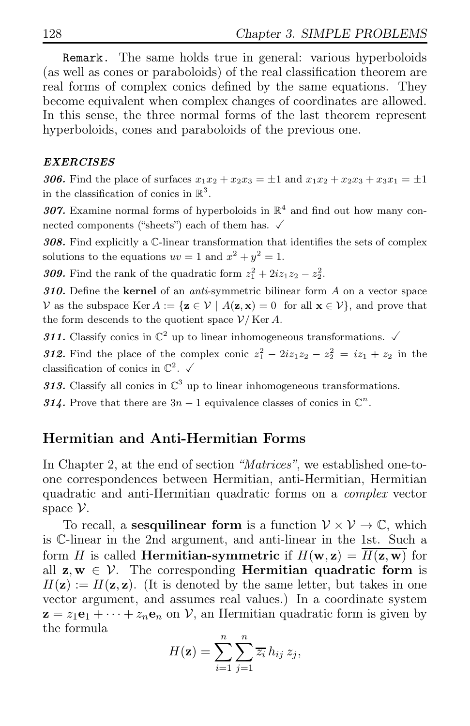Remark. The same holds true in general: various hyperboloids (as well as cones or paraboloids) of the real classification theorem are real forms of complex conics defined by the same equations. They become equivalent when complex changes of coordinates are allowed. In this sense, the three normal forms of the last theorem represent hyperboloids, cones and paraboloids of the previous one.

### EXERCISES

306. Find the place of surfaces  $x_1x_2 + x_2x_3 = \pm 1$  and  $x_1x_2 + x_2x_3 + x_3x_1 = \pm 1$ in the classification of conics in  $\mathbb{R}^3$ .

307. Examine normal forms of hyperboloids in  $\mathbb{R}^4$  and find out how many connected components ("sheets") each of them has.  $\checkmark$ 

308. Find explicitly a C-linear transformation that identifies the sets of complex solutions to the equations  $uv = 1$  and  $x^2 + y^2 = 1$ .

**309.** Find the rank of the quadratic form  $z_1^2 + 2iz_1z_2 - z_2^2$ .

310. Define the kernel of an *anti-symmetric* bilinear form  $A$  on a vector space V as the subspace Ker  $A := \{z \in V \mid A(z, x) = 0 \text{ for all } x \in V\}$ , and prove that the form descends to the quotient space  $\mathcal{V}/$  Ker A.

311. Classify conics in  $\mathbb{C}^2$  up to linear inhomogeneous transformations.  $\checkmark$ 

**312.** Find the place of the complex conic  $z_1^2 - 2iz_1z_2 - z_2^2 = iz_1 + z_2$  in the classification of conics in  $\mathbb{C}^2$ .  $\checkmark$ 

313. Classify all conics in  $\mathbb{C}^3$  up to linear inhomogeneous transformations.

314. Prove that there are  $3n-1$  equivalence classes of conics in  $\mathbb{C}^n$ .

# Hermitian and Anti-Hermitian Forms

In Chapter 2, at the end of section "Matrices", we established one-toone correspondences between Hermitian, anti-Hermitian, Hermitian quadratic and anti-Hermitian quadratic forms on a complex vector space V.

To recall, a **sesquilinear form** is a function  $V \times V \to \mathbb{C}$ , which is C-linear in the 2nd argument, and anti-linear in the 1st. Such a form H is called **Hermitian-symmetric** if  $H(\mathbf{w}, \mathbf{z}) = \overline{H(\mathbf{z}, \mathbf{w})}$  for all  $z, w \in V$ . The corresponding **Hermitian quadratic form** is  $H(\mathbf{z}) := H(\mathbf{z}, \mathbf{z})$ . (It is denoted by the same letter, but takes in one vector argument, and assumes real values.) In a coordinate system  $z = z_1e_1 + \cdots + z_ne_n$  on V, an Hermitian quadratic form is given by the formula

$$
H(\mathbf{z}) = \sum_{i=1}^{n} \sum_{j=1}^{n} \overline{z_i} h_{ij} z_j,
$$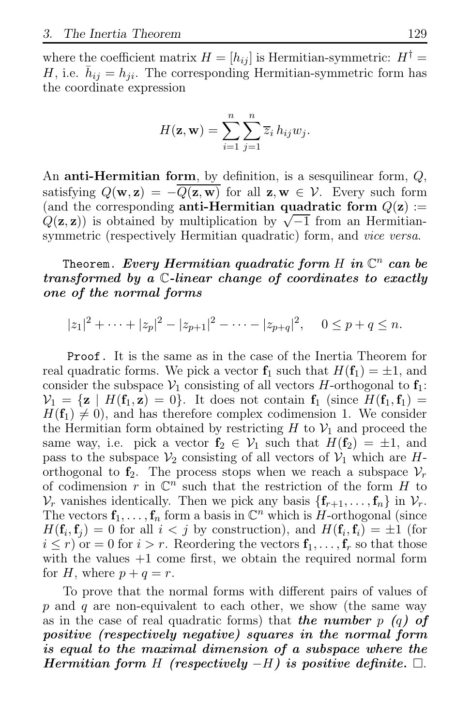where the coefficient matrix  $H = [h_{ij}]$  is Hermitian-symmetric:  $H^{\dagger} =$ H, i.e.  $\bar{h}_{ij} = h_{ji}$ . The corresponding Hermitian-symmetric form has the coordinate expression

$$
H(\mathbf{z}, \mathbf{w}) = \sum_{i=1}^{n} \sum_{j=1}^{n} \overline{z}_{i} h_{ij} w_{j}.
$$

An **anti-Hermitian form**, by definition, is a sesquilinear form,  $Q$ , satisfying  $Q(\mathbf{w}, \mathbf{z}) = -Q(\mathbf{\overline{z}, \mathbf{w}})$  for all  $\mathbf{z}, \mathbf{w} \in \mathcal{V}$ . Every such form (and the corresponding anti-Hermitian quadratic form  $Q(\mathbf{z}) :=$  $Q(\mathbf{z}, \mathbf{z})$  is obtained by multiplication by  $\sqrt{-1}$  from an Hermitiansymmetric (respectively Hermitian quadratic) form, and *vice versa*.

Theorem. *Every Hermitian quadratic form H in*  $\mathbb{C}^n$  *can be* transformed by a C-linear change of coordinates to exactly one of the normal forms

$$
|z_1|^2 + \dots + |z_p|^2 - |z_{p+1}|^2 - \dots - |z_{p+q}|^2, \quad 0 \le p+q \le n.
$$

Proof. It is the same as in the case of the Inertia Theorem for real quadratic forms. We pick a vector  $f_1$  such that  $H(f_1) = \pm 1$ , and consider the subspace  $V_1$  consisting of all vectors H-orthogonal to  $f_1$ :  $V_1 = {\mathbf{z} \mid H(\mathbf{f}_1, \mathbf{z}) = 0}$ . It does not contain  $\mathbf{f}_1$  (since  $H(\mathbf{f}_1, \mathbf{f}_1) =$  $H(\mathbf{f}_1) \neq 0$ , and has therefore complex codimension 1. We consider the Hermitian form obtained by restricting H to  $\mathcal{V}_1$  and proceed the same way, i.e. pick a vector  $f_2 \in V_1$  such that  $H(f_2) = \pm 1$ , and pass to the subspace  $\mathcal{V}_2$  consisting of all vectors of  $\mathcal{V}_1$  which are Horthogonal to  $f_2$ . The process stops when we reach a subspace  $\mathcal{V}_r$ of codimension  $r$  in  $\mathbb{C}^n$  such that the restriction of the form  $H$  to  $\mathcal{V}_r$  vanishes identically. Then we pick any basis  $\{\mathbf{f}_{r+1}, \ldots, \mathbf{f}_n\}$  in  $\mathcal{V}_r$ . The vectors  $f_1, \ldots, f_n$  form a basis in  $\mathbb{C}^n$  which is H-orthogonal (since  $H(\mathbf{f}_i, \mathbf{f}_j) = 0$  for all  $i < j$  by construction), and  $H(\mathbf{f}_i, \mathbf{f}_i) = \pm 1$  (for  $i \leq r$ ) or  $= 0$  for  $i > r$ . Reordering the vectors  $f_1, \ldots, f_r$  so that those with the values  $+1$  come first, we obtain the required normal form for H, where  $p + q = r$ .

To prove that the normal forms with different pairs of values of  $p$  and  $q$  are non-equivalent to each other, we show (the same way as in the case of real quadratic forms) that the number  $p$  (q) of positive (respectively negative) squares in the normal form is equal to the maximal dimension of a subspace where the Hermitian form H (respectively  $-H$ ) is positive definite.  $□$ .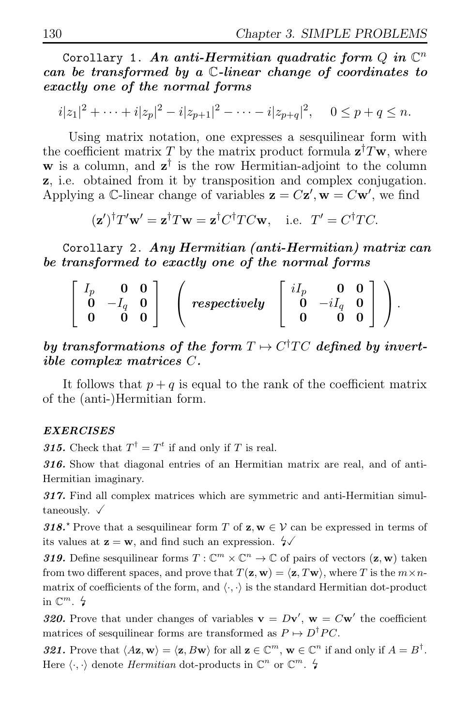Corollary 1. An anti-Hermitian quadratic form  $Q$  in  $\mathbb{C}^n$ can be transformed by a C-linear change of coordinates to exactly one of the normal forms

$$
i|z_1|^2 + \dots + i|z_p|^2 - i|z_{p+1}|^2 - \dots - i|z_{p+q}|^2
$$
,  $0 \le p + q \le n$ .

Using matrix notation, one expresses a sesquilinear form with the coefficient matrix T by the matrix product formula  $\mathbf{z}^\dagger T \mathbf{w}$ , where **w** is a column, and  $z^{\dagger}$  is the row Hermitian-adjoint to the column z, i.e. obtained from it by transposition and complex conjugation. Applying a C-linear change of variables  $z = Cz'$ ,  $w = Cw'$ , we find

$$
(\mathbf{z}')^{\dagger}T'\mathbf{w}' = \mathbf{z}^{\dagger}T\mathbf{w} = \mathbf{z}^{\dagger}C^{\dagger}TC\mathbf{w}
$$
, i.e.  $T' = C^{\dagger}TC$ .

Corollary 2. Any Hermitian (anti-Hermitian) matrix can be transformed to exactly one of the normal forms

| 0 <sub>u</sub> | $\mathbf{0}$ |                                                            | $iI_p$ 0 0 |  |  |
|----------------|--------------|------------------------------------------------------------|------------|--|--|
| $-I_a$ 0       |              | $respectively \begin{bmatrix} 0 & -iI_q & 0 \end{bmatrix}$ |            |  |  |
|                |              |                                                            |            |  |  |

by transformations of the form  $T \mapsto C^{\dagger}TC$  defined by invertible complex matrices C.

It follows that  $p + q$  is equal to the rank of the coefficient matrix of the (anti-)Hermitian form.

### EXERCISES

**315.** Check that  $T^{\dagger} = T^t$  if and only if T is real.

316. Show that diagonal entries of an Hermitian matrix are real, and of anti-Hermitian imaginary.

317. Find all complex matrices which are symmetric and anti-Hermitian simultaneously.  $\sqrt{}$ 

318.<sup> $\star$ </sup> Prove that a sesquilinear form T of  $z, w \in V$  can be expressed in terms of its values at  $z = w$ , and find such an expression.  $\sqrt{2}$ 

319. Define sesquilinear forms  $T: \mathbb{C}^m \times \mathbb{C}^n \to \mathbb{C}$  of pairs of vectors  $(\mathbf{z}, \mathbf{w})$  taken from two different spaces, and prove that  $T(\mathbf{z}, \mathbf{w}) = \langle \mathbf{z}, T\mathbf{w} \rangle$ , where T is the  $m \times n$ matrix of coefficients of the form, and  $\langle \cdot, \cdot \rangle$  is the standard Hermitian dot-product in  $\mathbb{C}^m$ .  $\sharp$ 

320. Prove that under changes of variables  $\mathbf{v} = D\mathbf{v}'$ ,  $\mathbf{w} = C\mathbf{w}'$  the coefficient matrices of sesquilinear forms are transformed as  $P \mapsto D^{\dagger}PC$ .

321. Prove that  $\langle A\mathbf{z}, \mathbf{w} \rangle = \langle \mathbf{z}, B\mathbf{w} \rangle$  for all  $\mathbf{z} \in \mathbb{C}^m$ ,  $\mathbf{w} \in \mathbb{C}^n$  if and only if  $A = B^{\dagger}$ . Here  $\langle \cdot, \cdot \rangle$  denote *Hermitian* dot-products in  $\mathbb{C}^n$  or  $\mathbb{C}^m$ .  $\sharp$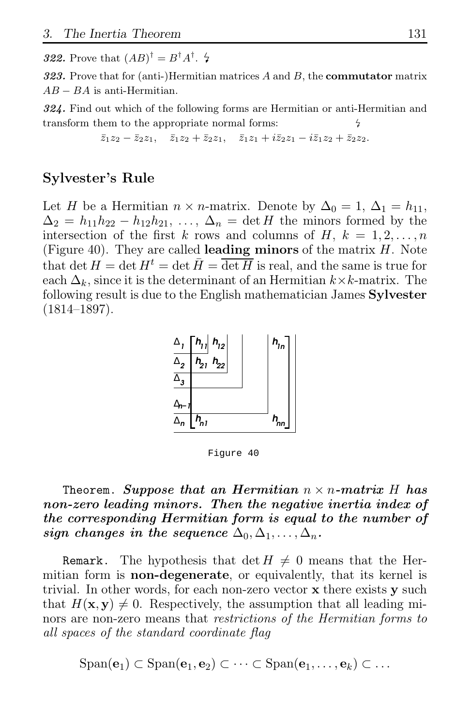**322.** Prove that  $(AB)^{\dagger} = B^{\dagger}A^{\dagger}$ .  $\sharp$ 

323. Prove that for (anti-)Hermitian matrices  $A$  and  $B$ , the **commutator** matrix  $AB - BA$  is anti-Hermitian.

324. Find out which of the following forms are Hermitian or anti-Hermitian and transform them to the appropriate normal forms:

 $\bar{z}_1z_2 - \bar{z}_2z_1$ ,  $\bar{z}_1z_2 + \bar{z}_2z_1$ ,  $\bar{z}_1z_1 + i\bar{z}_2z_1 - i\bar{z}_1z_2 + \bar{z}_2z_2$ .

# Sylvester's Rule

Let H be a Hermitian  $n \times n$ -matrix. Denote by  $\Delta_0 = 1$ ,  $\Delta_1 = h_{11}$ ,  $\Delta_2 = h_{11}h_{22} - h_{12}h_{21}, \ldots, \Delta_n = \det H$  the minors formed by the intersection of the first k rows and columns of H,  $k = 1, 2, \ldots, n$ (Figure 40). They are called **leading minors** of the matrix  $H$ . Note that det  $H = \det H^t = \det \bar{H} = \overline{\det H}$  is real, and the same is true for each  $\Delta_k$ , since it is the determinant of an Hermitian  $k \times k$ -matrix. The following result is due to the English mathematician James Sylvester (1814–1897).



Figure 40

# Theorem. Suppose that an Hermitian  $n \times n$ -matrix H has non-zero leading minors. Then the negative inertia index of the corresponding Hermitian form is equal to the number of sign changes in the sequence  $\Delta_0, \Delta_1, \ldots, \Delta_n$ .

**Remark.** The hypothesis that det  $H \neq 0$  means that the Hermitian form is **non-degenerate**, or equivalently, that its kernel is trivial. In other words, for each non-zero vector x there exists y such that  $H(\mathbf{x}, \mathbf{y}) \neq 0$ . Respectively, the assumption that all leading minors are non-zero means that *restrictions of the Hermitian forms to* all spaces of the standard coordinate flag

 $\text{Span}(\mathbf{e}_1) \subset \text{Span}(\mathbf{e}_1, \mathbf{e}_2) \subset \cdots \subset \text{Span}(\mathbf{e}_1, \ldots, \mathbf{e}_k) \subset \ldots$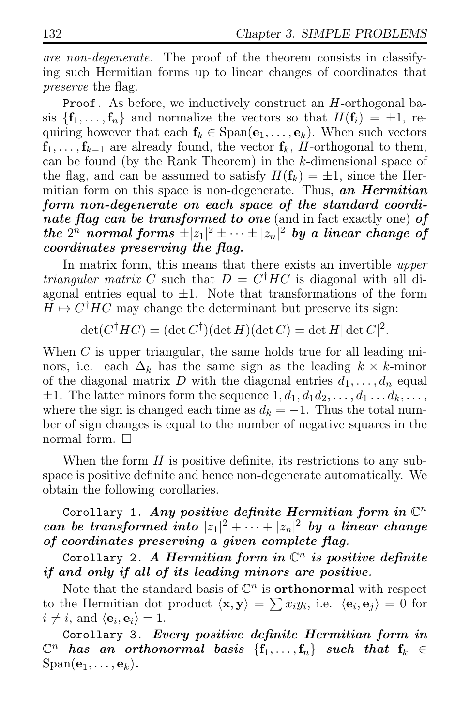are non-degenerate. The proof of the theorem consists in classifying such Hermitian forms up to linear changes of coordinates that preserve the flag.

Proof. As before, we inductively construct an H-orthogonal basis  $\{f_1, \ldots, f_n\}$  and normalize the vectors so that  $H(f_i) = \pm 1$ , requiring however that each  $f_k \in \text{Span}(e_1, \ldots, e_k)$ . When such vectors  $f_1, \ldots, f_{k-1}$  are already found, the vector  $f_k$ , H-orthogonal to them, can be found (by the Rank Theorem) in the k-dimensional space of the flag, and can be assumed to satisfy  $H(\mathbf{f}_k) = \pm 1$ , since the Hermitian form on this space is non-degenerate. Thus, an  $Hermitian$ form non-degenerate on each space of the standard coordinate flag can be transformed to one (and in fact exactly one) of the  $2^n$  normal forms  $\pm |z_1|^2 \pm \cdots \pm |z_n|^2$  by a linear change of coordinates preserving the flag.

In matrix form, this means that there exists an invertible *upper triangular matrix* C such that  $D = C^{\dagger} H C$  is diagonal with all diagonal entries equal to  $\pm 1$ . Note that transformations of the form  $H \mapsto C^{\dagger}HC$  may change the determinant but preserve its sign:

$$
\det(C^{\dagger}HC) = (\det C^{\dagger})(\det H)(\det C) = \det H |\det C|^2.
$$

When  $C$  is upper triangular, the same holds true for all leading minors, i.e. each  $\Delta_k$  has the same sign as the leading  $k \times k$ -minor of the diagonal matrix D with the diagonal entries  $d_1, \ldots, d_n$  equal  $\pm 1$ . The latter minors form the sequence  $1, d_1, d_1d_2, \ldots, d_1 \ldots d_k, \ldots$ , where the sign is changed each time as  $d_k = -1$ . Thus the total number of sign changes is equal to the number of negative squares in the normal form.  $\square$ 

When the form  $H$  is positive definite, its restrictions to any subspace is positive definite and hence non-degenerate automatically. We obtain the following corollaries.

Corollary 1. Any positive definite Hermitian form in  $\mathbb{C}^n$ can be transformed into  $|z_1|^2 + \cdots + |z_n|^2$  by a linear change of coordinates preserving a given complete flag.

Corollary 2. A Hermitian form in  $\mathbb{C}^n$  is positive definite if and only if all of its leading minors are positive.

Note that the standard basis of  $\mathbb{C}^n$  is **orthonormal** with respect to the Hermitian dot product  $\langle \mathbf{x}, \mathbf{y} \rangle = \sum \bar{x}_i y_i$ , i.e.  $\langle \mathbf{e}_i, \mathbf{e}_j \rangle = 0$  for  $i \neq i$ , and  $\langle \mathbf{e}_i, \mathbf{e}_i \rangle = 1$ .

Corollary 3. Every positive definite Hermitian form in  $\mathbb{C}^n$  has an orthonormal basis  $\{\mathbf{f}_1,\ldots,\mathbf{f}_n\}$  such that  $\mathbf{f}_k \in \mathbb{C}^n$  $Span(\mathbf{e}_1, \ldots, \mathbf{e}_k).$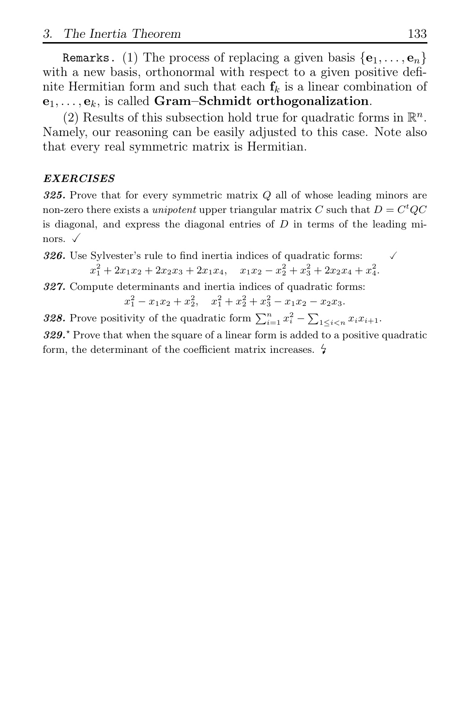Remarks. (1) The process of replacing a given basis  $\{e_1, \ldots, e_n\}$ with a new basis, orthonormal with respect to a given positive definite Hermitian form and such that each  $f_k$  is a linear combination of  $e_1, \ldots, e_k$ , is called Gram–Schmidt orthogonalization.

(2) Results of this subsection hold true for quadratic forms in  $\mathbb{R}^n$ . Namely, our reasoning can be easily adjusted to this case. Note also that every real symmetric matrix is Hermitian.

### EXERCISES

325. Prove that for every symmetric matrix  $Q$  all of whose leading minors are non-zero there exists a *unipotent* upper triangular matrix C such that  $D = C<sup>t</sup>QC$ is diagonal, and express the diagonal entries of  $D$  in terms of the leading minors.  $\checkmark$ 

**326.** Use Sylvester's rule to find inertia indices of quadratic forms:  $\sqrt{ }$  $x_1^2 + 2x_1x_2 + 2x_2x_3 + 2x_1x_4$ ,  $x_1x_2 - x_2^2 + x_3^2 + 2x_2x_4 + x_4^2$ .

327. Compute determinants and inertia indices of quadratic forms:

 $x_1^2 - x_1x_2 + x_2^2$ ,  $x_1^2 + x_2^2 + x_3^2 - x_1x_2 - x_2x_3$ .

**328.** Prove positivity of the quadratic form  $\sum_{i=1}^{n} x_i^2 - \sum_{1 \leq i < n} x_i x_{i+1}$ .

 $329.$ <sup>\*</sup> Prove that when the square of a linear form is added to a positive quadratic form, the determinant of the coefficient matrix increases.  $\frac{1}{2}$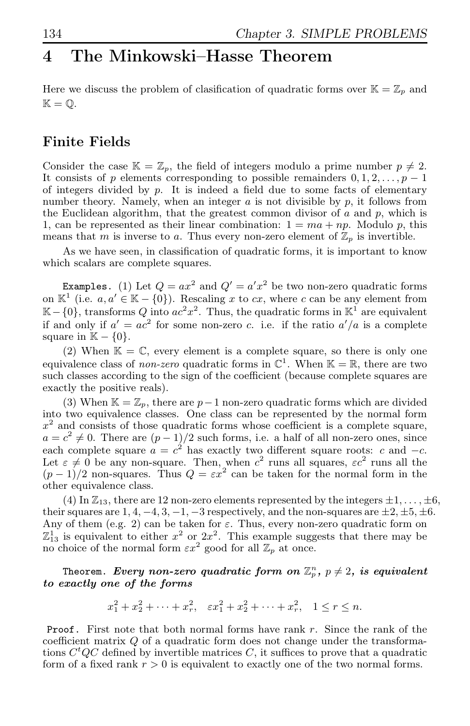# 4 The Minkowski–Hasse Theorem

Here we discuss the problem of clasification of quadratic forms over  $\mathbb{K} = \mathbb{Z}_p$  and  $\mathbb{K} = \mathbb{O}.$ 

# Finite Fields

Consider the case  $\mathbb{K} = \mathbb{Z}_p$ , the field of integers modulo a prime number  $p \neq 2$ . It consists of p elements corresponding to possible remainders  $0, 1, 2, \ldots, p - 1$ of integers divided by  $p$ . It is indeed a field due to some facts of elementary number theory. Namely, when an integer  $a$  is not divisible by  $p$ , it follows from the Euclidean algorithm, that the greatest common divisor of  $a$  and  $p$ , which is 1, can be represented as their linear combination:  $1 = ma + np$ . Modulo p, this means that m is inverse to a. Thus every non-zero element of  $\mathbb{Z}_p$  is invertible.

As we have seen, in classification of quadratic forms, it is important to know which scalars are complete squares.

**Examples.** (1) Let  $Q = ax^2$  and  $Q' = a'x^2$  be two non-zero quadratic forms on  $\mathbb{K}^1$  (i.e.  $a, a' \in \mathbb{K} - \{0\}$ ). Rescaling x to cx, where c can be any element from  $\mathbb{K} - \{0\}$ , transforms Q into  $ac^2x^2$ . Thus, the quadratic forms in  $\mathbb{K}^1$  are equivalent if and only if  $a' = ac^2$  for some non-zero c. i.e. if the ratio  $a'/a$  is a complete square in  $\mathbb{K} - \{0\}.$ 

(2) When  $\mathbb{K} = \mathbb{C}$ , every element is a complete square, so there is only one equivalence class of *non-zero* quadratic forms in  $\mathbb{C}^1$ . When  $\mathbb{K} = \mathbb{R}$ , there are two such classes according to the sign of the coefficient (because complete squares are exactly the positive reals).

(3) When  $K = \mathbb{Z}_p$ , there are  $p-1$  non-zero quadratic forms which are divided into two equivalence classes. One class can be represented by the normal form  $x<sup>2</sup>$  and consists of those quadratic forms whose coefficient is a complete square,  $a = c^2 \neq 0$ . There are  $(p-1)/2$  such forms, i.e. a half of all non-zero ones, since each complete square  $a = c^2$  has exactly two different square roots: c and  $-c$ . Let  $\varepsilon \neq 0$  be any non-square. Then, when  $c^2$  runs all squares,  $\varepsilon c^2$  runs all the  $(p-1)/2$  non-squares. Thus  $Q = \varepsilon x^2$  can be taken for the normal form in the other equivalence class.

(4) In  $\mathbb{Z}_{13}$ , there are 12 non-zero elements represented by the integers  $\pm 1, \ldots, \pm 6$ , their squares are  $1, 4, -4, 3, -1, -3$  respectively, and the non-squares are  $\pm 2, \pm 5, \pm 6$ . Any of them (e.g. 2) can be taken for  $\varepsilon$ . Thus, every non-zero quadratic form on  $\mathbb{Z}_{13}^1$  is equivalent to either  $x^2$  or  $2x^2$ . This example suggests that there may be no choice of the normal form  $\varepsilon x^2$  good for all  $\mathbb{Z}_p$  at once.

### Theorem.  $\bm{Every}$  non-zero quadratic form on  $\mathbb{Z}_p^n,~p\neq 2,~\bm{is}$  equivalent to exactly one of the forms

$$
x_1^2 + x_2^2 + \dots + x_r^2
$$
,  $\varepsilon x_1^2 + x_2^2 + \dots + x_r^2$ ,  $1 \le r \le n$ .

Proof. First note that both normal forms have rank r. Since the rank of the coefficient matrix Q of a quadratic form does not change under the transformations  $C<sup>t</sup>QC$  defined by invertible matrices C, it suffices to prove that a quadratic form of a fixed rank  $r > 0$  is equivalent to exactly one of the two normal forms.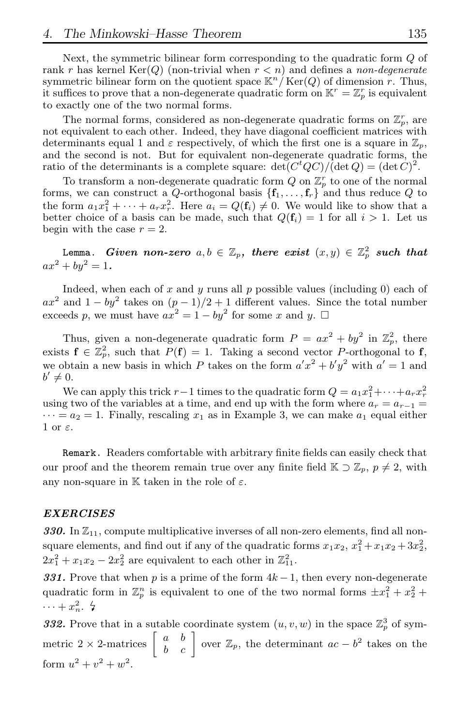Next, the symmetric bilinear form corresponding to the quadratic form Q of rank r has kernel  $\text{Ker}(Q)$  (non-trivial when  $r < n$ ) and defines a non-degenerate symmetric bilinear form on the quotient space  $\mathbb{K}^n / \text{Ker}(Q)$  of dimension r. Thus, it suffices to prove that a non-degenerate quadratic form on  $\mathbb{K}^r = \mathbb{Z}_p^r$  is equivalent to exactly one of the two normal forms.

The normal forms, considered as non-degenerate quadratic forms on  $\mathbb{Z}_p^r$ , are not equivalent to each other. Indeed, they have diagonal coefficient matrices with determinants equal 1 and  $\varepsilon$  respectively, of which the first one is a square in  $\mathbb{Z}_p$ , and the second is not. But for equivalent non-degenerate quadratic forms, the ratio of the determinants is a complete square:  $\det(C^tQC)/(\det Q) = (\det C)^2$ .

To transform a non-degenerate quadratic form  $Q$  on  $\mathbb{Z}_p^r$  to one of the normal forms, we can construct a Q-orthogonal basis  $\{f_1, \ldots, f_r\}$  and thus reduce Q to the form  $a_1x_1^2 + \cdots + a_rx_r^2$ . Here  $a_i = Q(f_i) \neq 0$ . We would like to show that a better choice of a basis can be made, such that  $Q(\mathbf{f}_i) = 1$  for all  $i > 1$ . Let us begin with the case  $r = 2$ .

Lemma.  $\emph{Given non-zero } \emph{a,b} \in \mathbb{Z}_p,$  there  $\emph{exist }$   $(x,y) \in \mathbb{Z}_p^2$   $\emph{such that}$  $ax^2 + by^2 = 1.$ 

Indeed, when each of  $x$  and  $y$  runs all  $p$  possible values (including 0) each of  $ax^2$  and  $1 - by^2$  takes on  $(p-1)/2 + 1$  different values. Since the total number exceeds p, we must have  $ax^2 = 1 - by^2$  for some x and y.  $\square$ 

Thus, given a non-degenerate quadratic form  $P = ax^2 + by^2$  in  $\mathbb{Z}_p^2$ , there exists  $f \in \mathbb{Z}_p^2$ , such that  $P(f) = 1$ . Taking a second vector P-orthogonal to f, we obtain a new basis in which P takes on the form  $a'x^2 + b'y^2$  with  $a' = 1$  and  $b' \neq 0.$ 

We can apply this trick  $r-1$  times to the quadratic form  $Q = a_1 x_1^2 + \cdots + a_r x_r^2$ using two of the variables at a time, and end up with the form where  $a_r = a_{r-1}$  $\cdots = a_2 = 1$ . Finally, rescaling  $x_1$  as in Example 3, we can make  $a_1$  equal either  $1$  or  $\varepsilon$ .

Remark. Readers comfortable with arbitrary finite fields can easily check that our proof and the theorem remain true over any finite field  $K \supset \mathbb{Z}_p$ ,  $p \neq 2$ , with any non-square in K taken in the role of  $\varepsilon$ .

#### EXERCISES

330. In  $\mathbb{Z}_{11}$ , compute multiplicative inverses of all non-zero elements, find all nonsquare elements, and find out if any of the quadratic forms  $x_1x_2, x_1^2 + x_1x_2 + 3x_2^2$ ,  $2x_1^2 + x_1x_2 - 2x_2^2$  are equivalent to each other in  $\mathbb{Z}_{11}^2$ .

331. Prove that when p is a prime of the form  $4k-1$ , then every non-degenerate quadratic form in  $\mathbb{Z}_p^n$  is equivalent to one of the two normal forms  $\pm x_1^2 + x_2^2 +$  $\cdots + x_n^2$ .  $\sharp$ 

332. Prove that in a sutable coordinate system  $(u, v, w)$  in the space  $\mathbb{Z}_p^3$  of symmetric 2 × 2-matrices  $\begin{bmatrix} a & b \\ b & c \end{bmatrix}$  over  $\mathbb{Z}_p$ , the determinant  $ac - b^2$  takes on the form  $u^2 + v^2 + w^2$ .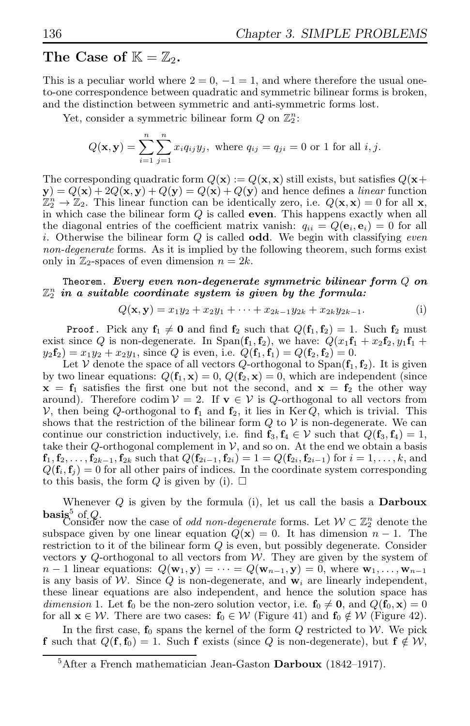# The Case of  $\mathbb{K} = \mathbb{Z}_2$ .

This is a peculiar world where  $2 = 0, -1 = 1$ , and where therefore the usual oneto-one correspondence between quadratic and symmetric bilinear forms is broken, and the distinction between symmetric and anti-symmetric forms lost.

Yet, consider a symmetric bilinear form  $Q$  on  $\mathbb{Z}_2^n$ :

$$
Q(\mathbf{x}, \mathbf{y}) = \sum_{i=1}^{n} \sum_{j=1}^{n} x_i q_{ij} y_j, \text{ where } q_{ij} = q_{ji} = 0 \text{ or } 1 \text{ for all } i, j.
$$

The corresponding quadratic form  $Q(\mathbf{x}) := Q(\mathbf{x}, \mathbf{x})$  still exists, but satisfies  $Q(\mathbf{x}+)$  $y) = Q(x) + 2Q(x, y) + Q(y) = Q(x) + Q(y)$  and hence defines a *linear* function  $\mathbb{Z}_2^n \to \mathbb{Z}_2$ . This linear function can be identically zero, i.e.  $Q(\mathbf{x}, \mathbf{x}) = 0$  for all **x**, in which case the bilinear form  $Q$  is called **even**. This happens exactly when all the diagonal entries of the coefficient matrix vanish:  $q_{ii} = Q(e_i, e_i) = 0$  for all i. Otherwise the bilinear form  $Q$  is called odd. We begin with classifying even non-degenerate forms. As it is implied by the following theorem, such forms exist only in  $\mathbb{Z}_2$ -spaces of even dimension  $n = 2k$ .

### Theorem. Every even non-degenerate symmetric bilinear form  $Q$  on  $\mathbb{Z}_2^n$  in a suitable coordinate system is given by the formula:

$$
Q(\mathbf{x}, \mathbf{y}) = x_1 y_2 + x_2 y_1 + \dots + x_{2k-1} y_{2k} + x_{2k} y_{2k-1}.
$$
 (i)

**Proof.** Pick any  $f_1 \neq 0$  and find  $f_2$  such that  $Q(f_1, f_2) = 1$ . Such  $f_2$  must exist since Q is non-degenerate. In Span( $f_1, f_2$ ), we have:  $Q(x_1f_1 + x_2f_2, y_1f_1 + y_2f_2)$  $y_2\mathbf{f}_2 = x_1y_2 + x_2y_1$ , since Q is even, i.e.  $Q(\mathbf{f}_1, \mathbf{f}_1) = Q(\mathbf{f}_2, \mathbf{f}_2) = 0$ .

Let V denote the space of all vectors  $Q$ -orthogonal to  $Span(\mathbf{f}_1, \mathbf{f}_2)$ . It is given by two linear equations:  $Q(\mathbf{f}_1, \mathbf{x}) = 0$ ,  $Q(\mathbf{f}_2, \mathbf{x}) = 0$ , which are independent (since  $x = f_1$  satisfies the first one but not the second, and  $x = f_2$  the other way around). Therefore codim  $V = 2$ . If  $\mathbf{v} \in V$  is Q-orthogonal to all vectors from V, then being Q-orthogonal to  $f_1$  and  $f_2$ , it lies in Ker Q, which is trivial. This shows that the restriction of the bilinear form  $Q$  to  $V$  is non-degenerate. We can continue our constriction inductively, i.e. find  $\mathbf{f}_3, \mathbf{f}_4 \in \mathcal{V}$  such that  $Q(\mathbf{f}_3, \mathbf{f}_4) = 1$ , take their Q-orthogonal complement in  $\mathcal{V}$ , and so on. At the end we obtain a basis  $f_1, f_2, \ldots, f_{2k-1}, f_{2k}$  such that  $Q(f_{2i-1}, f_{2i}) = 1 = Q(f_{2i}, f_{2i-1})$  for  $i = 1, \ldots, k$ , and  $Q(\mathbf{f}_i, \mathbf{f}_j) = 0$  for all other pairs of indices. In the coordinate system corresponding to this basis, the form Q is given by (i).  $\Box$ 

Whenever  $Q$  is given by the formula (i), let us call the basis a **Darboux basis**<sup>5</sup> of *Q*. Consider now the case of *odd non-degenerate* forms. Let  $W \subset \mathbb{Z}_2^n$  denote the subspace given by one linear equation  $Q(\mathbf{x}) = 0$ . It has dimension  $n-1$ . The restriction to it of the bilinear form Q is even, but possibly degenerate. Consider vectors y  $Q$ -orthogonal to all vectors from  $W$ . They are given by the system of  $n-1$  linear equations:  $Q(\mathbf{w}_1, \mathbf{y}) = \cdots = Q(\mathbf{w}_{n-1}, \mathbf{y}) = 0$ , where  $\mathbf{w}_1, \ldots, \mathbf{w}_{n-1}$ is any basis of W. Since Q is non-degenerate, and  $w_i$  are linearly independent, these linear equations are also independent, and hence the solution space has dimension 1. Let  $f_0$  be the non-zero solution vector, i.e.  $f_0 \neq 0$ , and  $Q(f_0, x) = 0$ for all  $\mathbf{x} \in \mathcal{W}$ . There are two cases:  $\mathbf{f}_0 \in \mathcal{W}$  (Figure 41) and  $\mathbf{f}_0 \notin \mathcal{W}$  (Figure 42).

In the first case,  $f_0$  spans the kernel of the form  $Q$  restricted to  $W$ . We pick f such that  $Q(\mathbf{f},\mathbf{f}_0) = 1$ . Such f exists (since Q is non-degenerate), but  $\mathbf{f} \notin \mathcal{W}$ ,

 ${}^{5}$ After a French mathematician Jean-Gaston Darboux (1842–1917).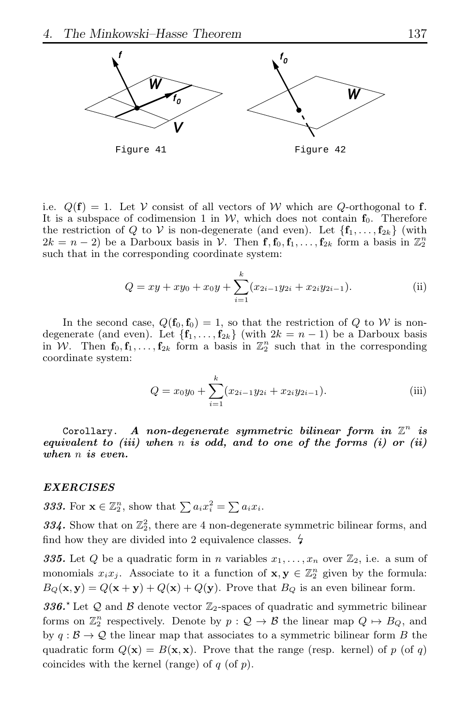

i.e.  $Q(f) = 1$ . Let V consist of all vectors of W which are Q-orthogonal to f. It is a subspace of codimension 1 in  $W$ , which does not contain  $f_0$ . Therefore the restriction of Q to V is non-degenerate (and even). Let  $\{f_1, \ldots, f_{2k}\}\$  (with  $2k = n - 2$ ) be a Darboux basis in  $V$ . Then  $f, f_0, f_1, \ldots, f_{2k}$  form a basis in  $\mathbb{Z}_2^n$ such that in the corresponding coordinate system:

$$
Q = xy + xy_0 + x_0y + \sum_{i=1}^{k} (x_{2i-1}y_{2i} + x_{2i}y_{2i-1}).
$$
 (ii)

In the second case,  $Q(\mathbf{f}_0, \mathbf{f}_0) = 1$ , so that the restriction of Q to W is nondegenerate (and even). Let  ${f_1, \ldots, f_{2k}}$  (with  $2k = n - 1$ ) be a Darboux basis in W. Then  $f_0, f_1, \ldots, f_{2k}$  form a basis in  $\mathbb{Z}_2^n$  such that in the corresponding coordinate system:

$$
Q = x_0 y_0 + \sum_{i=1}^{k} (x_{2i-1} y_{2i} + x_{2i} y_{2i-1}).
$$
 (iii)

Corollary. A non-degenerate symmetric bilinear form in  $\mathbb{Z}^n$  is equivalent to (iii) when  $n$  is odd, and to one of the forms  $(i)$  or (ii) when *n* is even.

#### EXERCISES

**333.** For  $\mathbf{x} \in \mathbb{Z}_2^n$ , show that  $\sum a_i x_i^2 = \sum a_i x_i$ .

334. Show that on  $\mathbb{Z}_2^2$ , there are 4 non-degenerate symmetric bilinear forms, and find how they are divided into 2 equivalence classes.  $\frac{1}{2}$ 

**335.** Let Q be a quadratic form in n variables  $x_1, \ldots, x_n$  over  $\mathbb{Z}_2$ , i.e. a sum of monomials  $x_i x_j$ . Associate to it a function of  $\mathbf{x}, \mathbf{y} \in \mathbb{Z}_2^n$  given by the formula:  $B_Q(\mathbf{x}, \mathbf{y}) = Q(\mathbf{x} + \mathbf{y}) + Q(\mathbf{x}) + Q(\mathbf{y})$ . Prove that  $B_Q$  is an even bilinear form.

336.<sup> $\star$ </sup> Let Q and B denote vector  $\mathbb{Z}_2$ -spaces of quadratic and symmetric bilinear forms on  $\mathbb{Z}_2^n$  respectively. Denote by  $p: \mathcal{Q} \to \mathcal{B}$  the linear map  $Q \mapsto B_Q$ , and by  $q : \mathcal{B} \to \mathcal{Q}$  the linear map that associates to a symmetric bilinear form B the quadratic form  $Q(\mathbf{x}) = B(\mathbf{x}, \mathbf{x})$ . Prove that the range (resp. kernel) of p (of q) coincides with the kernel (range) of  $q$  (of  $p$ ).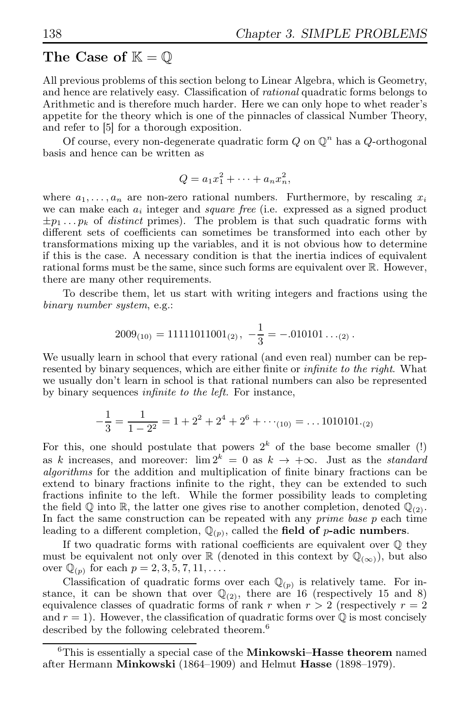# The Case of  $\mathbb{K} = \mathbb{O}$

All previous problems of this section belong to Linear Algebra, which is Geometry, and hence are relatively easy. Classification of rational quadratic forms belongs to Arithmetic and is therefore much harder. Here we can only hope to whet reader's appetite for the theory which is one of the pinnacles of classical Number Theory, and refer to [5] for a thorough exposition.

Of course, every non-degenerate quadratic form  $Q$  on  $\mathbb{Q}^n$  has a  $Q$ -orthogonal basis and hence can be written as

$$
Q = a_1 x_1^2 + \dots + a_n x_n^2,
$$

where  $a_1, \ldots, a_n$  are non-zero rational numbers. Furthermore, by rescaling  $x_i$ we can make each  $a_i$  integer and *square free* (i.e. expressed as a signed product  $\pm p_1 \ldots p_k$  of *distinct* primes). The problem is that such quadratic forms with different sets of coefficients can sometimes be transformed into each other by transformations mixing up the variables, and it is not obvious how to determine if this is the case. A necessary condition is that the inertia indices of equivalent rational forms must be the same, since such forms are equivalent over R. However, there are many other requirements.

To describe them, let us start with writing integers and fractions using the binary number system, e.g.:

$$
2009_{(10)} = 11111011001_{(2)}, -\frac{1}{3} = -.010101\ldots_{(2)}.
$$

We usually learn in school that every rational (and even real) number can be represented by binary sequences, which are either finite or infinite to the right. What we usually don't learn in school is that rational numbers can also be represented by binary sequences infinite to the left. For instance,

$$
-\frac{1}{3} = \frac{1}{1-2^2} = 1+2^2+2^4+2^6+\cdots = 1010101(2)
$$

For this, one should postulate that powers  $2<sup>k</sup>$  of the base become smaller (!) as k increases, and moreover:  $\lim 2^k = 0$  as  $k \to +\infty$ . Just as the *standard* algorithms for the addition and multiplication of finite binary fractions can be extend to binary fractions infinite to the right, they can be extended to such fractions infinite to the left. While the former possibility leads to completing the field  $\mathbb Q$  into  $\mathbb R$ , the latter one gives rise to another completion, denoted  $\mathbb Q_{(2)}$ . In fact the same construction can be repeated with any *prime base*  $p$  each time leading to a different completion,  $\mathbb{Q}_{(p)}$ , called the field of p-adic numbers.

If two quadratic forms with rational coefficients are equivalent over Q they must be equivalent not only over R (denoted in this context by  $\mathbb{Q}_{(\infty)}$ ), but also over  $\mathbb{Q}_{(p)}$  for each  $p = 2, 3, 5, 7, 11, \dots$ 

Classification of quadratic forms over each  $\mathbb{Q}_{(p)}$  is relatively tame. For instance, it can be shown that over  $\mathbb{Q}_{(2)}$ , there are 16 (respectively 15 and 8) equivalence classes of quadratic forms of rank r when  $r > 2$  (respectively  $r = 2$ ) and  $r = 1$ ). However, the classification of quadratic forms over  $\mathbb Q$  is most concisely described by the following celebrated theorem.<sup>6</sup>

 ${}^{6}$ This is essentially a special case of the **Minkowski–Hasse theorem** named after Hermann Minkowski (1864–1909) and Helmut Hasse (1898–1979).